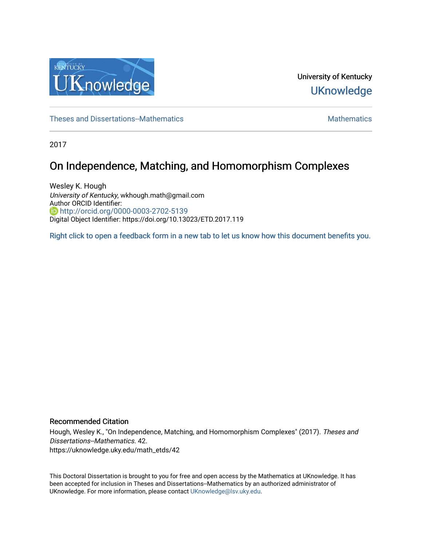

University of Kentucky **UKnowledge** 

[Theses and Dissertations--Mathematics](https://uknowledge.uky.edu/math_etds) **Mathematics** [Mathematics](https://uknowledge.uky.edu/math) Mathematics Mathematics

2017

# On Independence, Matching, and Homomorphism Complexes

Wesley K. Hough University of Kentucky, wkhough.math@gmail.com Author ORCID Identifier: **b** http://orcid.org/0000-0003-2702-5139 Digital Object Identifier: https://doi.org/10.13023/ETD.2017.119

[Right click to open a feedback form in a new tab to let us know how this document benefits you.](https://uky.az1.qualtrics.com/jfe/form/SV_9mq8fx2GnONRfz7)

### Recommended Citation

Hough, Wesley K., "On Independence, Matching, and Homomorphism Complexes" (2017). Theses and Dissertations--Mathematics. 42. https://uknowledge.uky.edu/math\_etds/42

This Doctoral Dissertation is brought to you for free and open access by the Mathematics at UKnowledge. It has been accepted for inclusion in Theses and Dissertations--Mathematics by an authorized administrator of UKnowledge. For more information, please contact [UKnowledge@lsv.uky.edu](mailto:UKnowledge@lsv.uky.edu).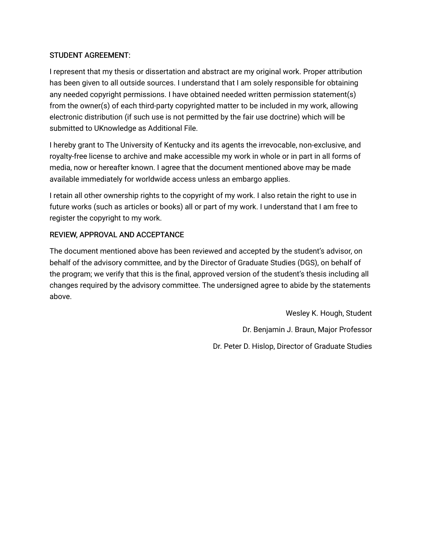## STUDENT AGREEMENT:

I represent that my thesis or dissertation and abstract are my original work. Proper attribution has been given to all outside sources. I understand that I am solely responsible for obtaining any needed copyright permissions. I have obtained needed written permission statement(s) from the owner(s) of each third-party copyrighted matter to be included in my work, allowing electronic distribution (if such use is not permitted by the fair use doctrine) which will be submitted to UKnowledge as Additional File.

I hereby grant to The University of Kentucky and its agents the irrevocable, non-exclusive, and royalty-free license to archive and make accessible my work in whole or in part in all forms of media, now or hereafter known. I agree that the document mentioned above may be made available immediately for worldwide access unless an embargo applies.

I retain all other ownership rights to the copyright of my work. I also retain the right to use in future works (such as articles or books) all or part of my work. I understand that I am free to register the copyright to my work.

## REVIEW, APPROVAL AND ACCEPTANCE

The document mentioned above has been reviewed and accepted by the student's advisor, on behalf of the advisory committee, and by the Director of Graduate Studies (DGS), on behalf of the program; we verify that this is the final, approved version of the student's thesis including all changes required by the advisory committee. The undersigned agree to abide by the statements above.

> Wesley K. Hough, Student Dr. Benjamin J. Braun, Major Professor Dr. Peter D. Hislop, Director of Graduate Studies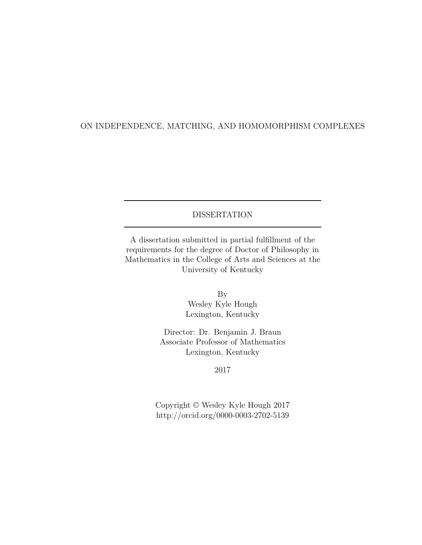## ON INDEPENDENCE, MATCHING, AND HOMOMORPHISM COMPLEXES

## DISSERTATION

A dissertation submitted in partial fulfillment of the requirements for the degree of Doctor of Philosophy in Mathematics in the College of Arts and Sciences at the University of Kentucky

> By Wesley Kyle Hough Lexington, Kentucky

Director: Dr. Benjamin J. Braun Associate Professor of Mathematics Lexington, Kentucky

2017

Copyright © Wesley Kyle Hough 2017 http://orcid.org/0000-0003-2702-5139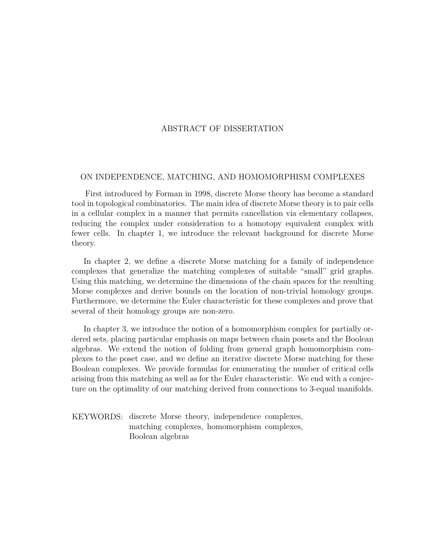### ABSTRACT OF DISSERTATION

#### ON INDEPENDENCE, MATCHING, AND HOMOMORPHISM COMPLEXES

First introduced by Forman in 1998, discrete Morse theory has become a standard tool in topological combinatorics. The main idea of discrete Morse theory is to pair cells in a cellular complex in a manner that permits cancellation via elementary collapses, reducing the complex under consideration to a homotopy equivalent complex with fewer cells. In chapter 1, we introduce the relevant background for discrete Morse theory.

In chapter 2, we define a discrete Morse matching for a family of independence complexes that generalize the matching complexes of suitable "small" grid graphs. Using this matching, we determine the dimensions of the chain spaces for the resulting Morse complexes and derive bounds on the location of non-trivial homology groups. Furthermore, we determine the Euler characteristic for these complexes and prove that several of their homology groups are non-zero.

In chapter 3, we introduce the notion of a homomorphism complex for partially ordered sets, placing particular emphasis on maps between chain posets and the Boolean algebras. We extend the notion of folding from general graph homomorphism complexes to the poset case, and we define an iterative discrete Morse matching for these Boolean complexes. We provide formulas for enumerating the number of critical cells arising from this matching as well as for the Euler characteristic. We end with a conjecture on the optimality of our matching derived from connections to 3-equal manifolds.

KEYWORDS: discrete Morse theory, independence complexes, matching complexes, homomorphism complexes, Boolean algebras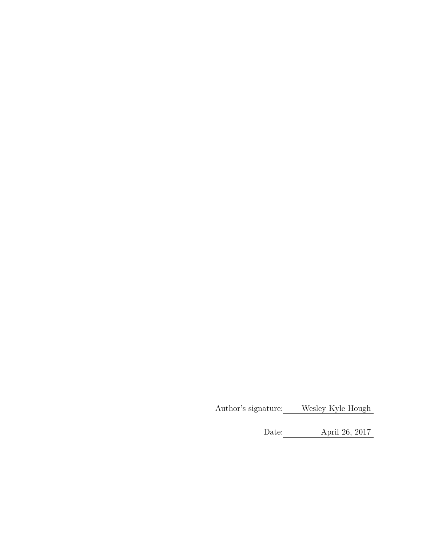Author's signature: Wesley Kyle Hough

Date: April 26, 2017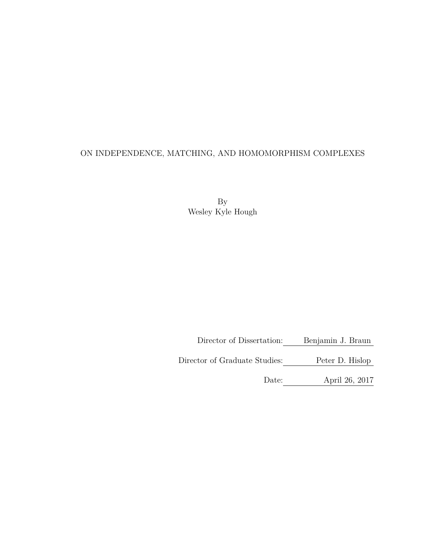## ON INDEPENDENCE, MATCHING, AND HOMOMORPHISM COMPLEXES

By Wesley Kyle Hough

Director of Dissertation: Benjamin J. Braun

Director of Graduate Studies: Peter D. Hislop

Date: April 26, 2017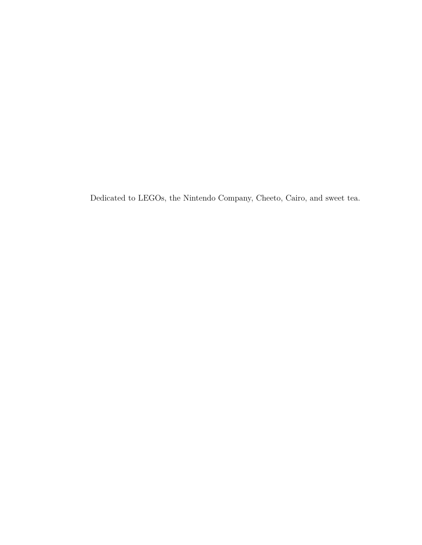Dedicated to LEGOs, the Nintendo Company, Cheeto, Cairo, and sweet tea.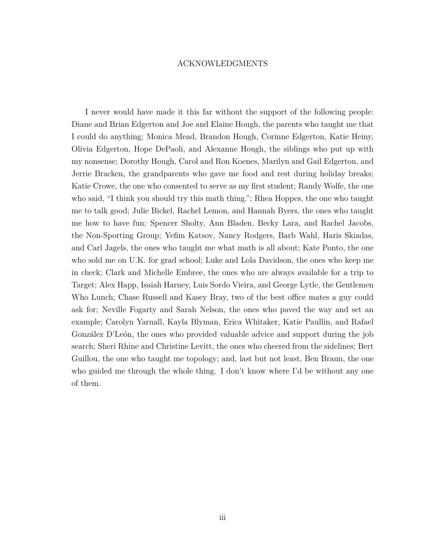### ACKNOWLEDGMENTS

<span id="page-7-0"></span>I never would have made it this far without the support of the following people: Diane and Brian Edgerton and Joe and Elaine Hough, the parents who taught me that I could do anything; Monica Mead, Brandon Hough, Corinne Edgerton, Katie Heiny, Olivia Edgerton, Hope DePaoli, and Alexanne Hough, the siblings who put up with my nonsense; Dorothy Hough, Carol and Ron Koenes, Marilyn and Gail Edgerton, and Jerrie Bracken, the grandparents who gave me food and rest during holiday breaks; Katie Crowe, the one who consented to serve as my first student; Randy Wolfe, the one who said, "I think you should try this math thing."; Rhea Hoppes, the one who taught me to talk good; Julie Bickel, Rachel Lemon, and Hannah Byers, the ones who taught me how to have fun; Spencer Sholty, Ann Bladen, Becky Lara, and Rachel Jacobs, the Non-Sporting Group; Yefim Katsov, Nancy Rodgers, Barb Wahl, Haris Skiadas, and Carl Jagels, the ones who taught me what math is all about; Kate Ponto, the one who sold me on U.K. for grad school; Luke and Lola Davidson, the ones who keep me in check; Clark and Michelle Embree, the ones who are always available for a trip to Target; Alex Happ, Isaiah Harney, Luis Sordo Vieira, and George Lytle, the Gentlemen Who Lunch; Chase Russell and Kasey Bray, two of the best office mates a guy could ask for; Neville Fogarty and Sarah Nelson, the ones who paved the way and set an example; Carolyn Yarnall, Kayla Blyman, Erica Whitaker, Katie Paullin, and Rafael González D'León, the ones who provided valuable advice and support during the job search; Sheri Rhine and Christine Levitt, the ones who cheered from the sidelines; Bert Guillou, the one who taught me topology; and, last but not least, Ben Braun, the one who guided me through the whole thing. I don't know where I'd be without any one of them.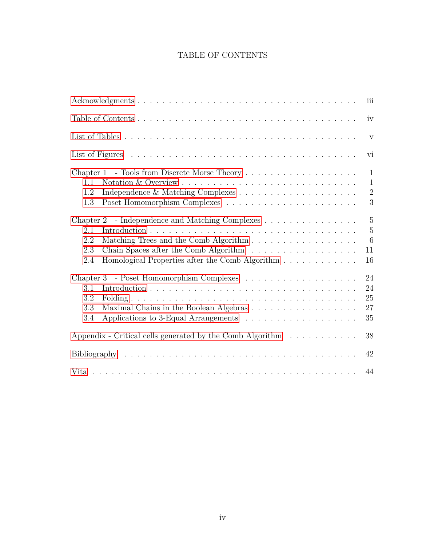## TABLE OF CONTENTS

<span id="page-8-0"></span>

|                                                                                                               | iii                           |
|---------------------------------------------------------------------------------------------------------------|-------------------------------|
|                                                                                                               | iv                            |
|                                                                                                               | V                             |
|                                                                                                               | vi                            |
| 1.1                                                                                                           | $\mathbf{1}$<br>$\mathbf{1}$  |
| 1.2<br>1.3                                                                                                    | $\sqrt{2}$<br>$\mathfrak{Z}$  |
| - Independence and Matching Complexes<br>Chapter 2<br>2.1                                                     | $\overline{5}$<br>$\mathbf 5$ |
| Matching Trees and the Comb Algorithm<br>2.2<br>2.3<br>Homological Properties after the Comb Algorithm<br>2.4 | $6\phantom{.}6$<br>11<br>16   |
|                                                                                                               | 24                            |
| 3.1<br>3.2<br>3.3<br>Maximal Chains in the Boolean Algebras                                                   | 24<br>25<br>27                |
| 3.4                                                                                                           | 35                            |
| Appendix - Critical cells generated by the Comb Algorithm                                                     | 38                            |
|                                                                                                               | 42                            |
|                                                                                                               | 44                            |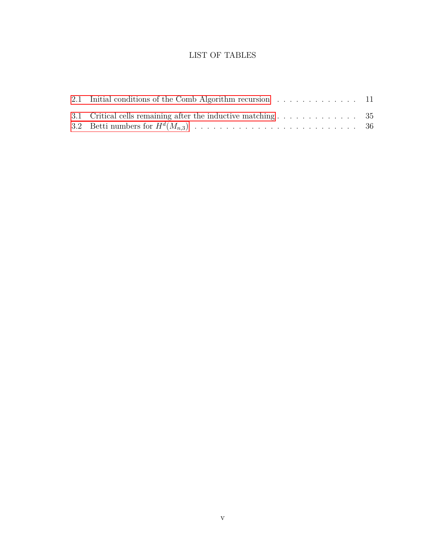## LIST OF TABLES

<span id="page-9-0"></span>

| 2.1 Initial conditions of the Comb Algorithm recursion $\ldots \ldots \ldots \ldots$ 11      |  |
|----------------------------------------------------------------------------------------------|--|
| 3.1 Critical cells remaining after the inductive matching $\dots \dots \dots \dots \dots$ 35 |  |
|                                                                                              |  |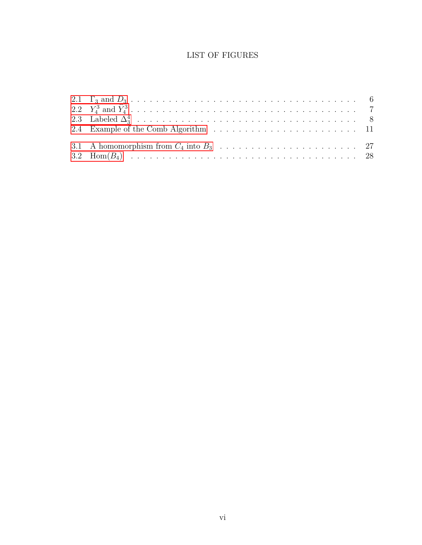## LIST OF FIGURES

<span id="page-10-0"></span>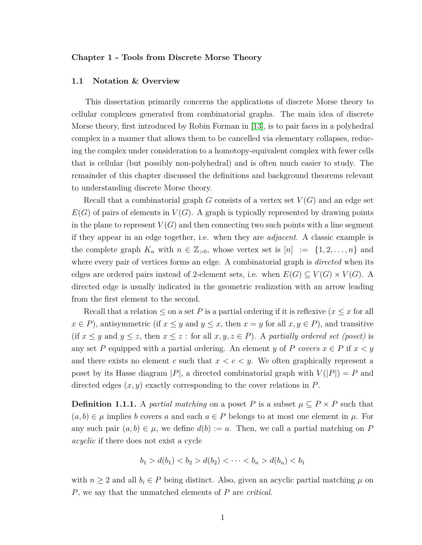#### <span id="page-11-0"></span>**Chapter 1 - Tools from Discrete Morse Theory**

#### <span id="page-11-1"></span>**1.1 Notation & Overview**

This dissertation primarily concerns the applications of discrete Morse theory to cellular complexes generated from combinatorial graphs. The main idea of discrete Morse theory, first introduced by Robin Forman in [\[13\]](#page-52-1), is to pair faces in a polyhedral complex in a manner that allows them to be cancelled via elementary collapses, reducing the complex under consideration to a homotopy-equivalent complex with fewer cells that is cellular (but possibly non-polyhedral) and is often much easier to study. The remainder of this chapter discussed the definitions and background theorems relevant to understanding discrete Morse theory.

Recall that a combinatorial graph  $G$  consists of a vertex set  $V(G)$  and an edge set  $E(G)$  of pairs of elements in  $V(G)$ . A graph is typically represented by drawing points in the plane to represent  $V(G)$  and then connecting two such points with a line segment if they appear in an edge together, i.e. when they are *adjacent*. A classic example is the complete graph  $K_n$  with  $n \in \mathbb{Z}_{>0}$ , whose vertex set is  $[n] := \{1, 2, \ldots, n\}$  and where every pair of vertices forms an edge. A combinatorial graph is *directed* when its edges are ordered pairs instead of 2-element sets, i.e. when  $E(G) \subseteq V(G) \times V(G)$ . A directed edge is usually indicated in the geometric realization with an arrow leading from the first element to the second.

Recall that a relation  $\leq$  on a set P is a partial ordering if it is reflexive  $(x \leq x$  for all  $x \in P$ , antisymmetric (if  $x \leq y$  and  $y \leq x$ , then  $x = y$  for all  $x, y \in P$ ), and transitive (if  $x \leq y$  and  $y \leq z$ , then  $x \leq z$ : for all  $x, y, z \in P$ ). A *partially ordered set (poset)* is any set *P* equipped with a partial ordering. An element *y* of *P covers*  $x \in P$  if  $x < y$ and there exists no element  $c$  such that  $x < c < y$ . We often graphically represent a poset by its Hasse diagram  $|P|$ , a directed combinatorial graph with  $V(|P|) = P$  and directed edges (*x, y*) exactly corresponding to the cover relations in *P*.

<span id="page-11-2"></span>**Definition 1.1.1.** A *partial matching* on a poset *P* is a subset  $\mu \subseteq P \times P$  such that  $(a, b) \in \mu$  implies *b* covers *a* and each  $a \in P$  belongs to at most one element in  $\mu$ . For any such pair  $(a, b) \in \mu$ , we define  $d(b) := a$ . Then, we call a partial matching on P *acyclic* if there does not exist a cycle

$$
b_1 > d(b_1) < b_2 > d(b_2) < \cdots < b_n > d(b_n) < b_1
$$

with  $n \geq 2$  and all  $b_i \in P$  being distinct. Also, given an acyclic partial matching  $\mu$  on *P*, we say that the unmatched elements of *P* are *critical*.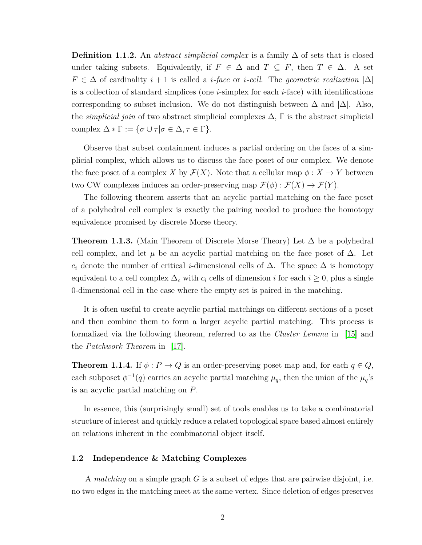**Definition 1.1.2.** An *abstract simplicial complex* is a family ∆ of sets that is closed under taking subsets. Equivalently, if  $F \in \Delta$  and  $T \subseteq F$ , then  $T \in \Delta$ . A set  $F \in \Delta$  of cardinality  $i + 1$  is called a *i*-face or *i*-cell. The geometric realization  $|\Delta|$ is a collection of standard simplices (one *i*-simplex for each *i*-face) with identifications corresponding to subset inclusion. We do not distinguish between  $\Delta$  and  $|\Delta|$ . Also, the *simplicial join* of two abstract simplicial complexes  $\Delta$ ,  $\Gamma$  is the abstract simplicial complex  $\Delta * \Gamma := \{ \sigma \cup \tau | \sigma \in \Delta, \tau \in \Gamma \}.$ 

Observe that subset containment induces a partial ordering on the faces of a simplicial complex, which allows us to discuss the face poset of our complex. We denote the face poset of a complex *X* by  $\mathcal{F}(X)$ . Note that a cellular map  $\phi: X \to Y$  between two CW complexes induces an order-preserving map  $\mathcal{F}(\phi) : \mathcal{F}(X) \to \mathcal{F}(Y)$ .

The following theorem asserts that an acyclic partial matching on the face poset of a polyhedral cell complex is exactly the pairing needed to produce the homotopy equivalence promised by discrete Morse theory.

**Theorem 1.1.3.** (Main Theorem of Discrete Morse Theory) Let  $\Delta$  be a polyhedral cell complex, and let  $\mu$  be an acyclic partial matching on the face poset of  $\Delta$ . Let  $c_i$  denote the number of critical *i*-dimensional cells of  $\Delta$ . The space  $\Delta$  is homotopy equivalent to a cell complex  $\Delta_c$  with  $c_i$  cells of dimension *i* for each  $i \geq 0$ , plus a single 0-dimensional cell in the case where the empty set is paired in the matching.

It is often useful to create acyclic partial matchings on different sections of a poset and then combine them to form a larger acyclic partial matching. This process is formalized via the following theorem, referred to as the *Cluster Lemma* in [\[15\]](#page-52-2) and the *Patchwork Theorem* in [\[17\]](#page-53-0).

**Theorem 1.1.4.** If  $\phi: P \to Q$  is an order-preserving poset map and, for each  $q \in Q$ , each subposet  $\phi^{-1}(q)$  carries an acyclic partial matching  $\mu_q$ , then the union of the  $\mu_q$ 's is an acyclic partial matching on *P*.

In essence, this (surprisingly small) set of tools enables us to take a combinatorial structure of interest and quickly reduce a related topological space based almost entirely on relations inherent in the combinatorial object itself.

#### <span id="page-12-0"></span>**1.2 Independence & Matching Complexes**

A *matching* on a simple graph *G* is a subset of edges that are pairwise disjoint, i.e. no two edges in the matching meet at the same vertex. Since deletion of edges preserves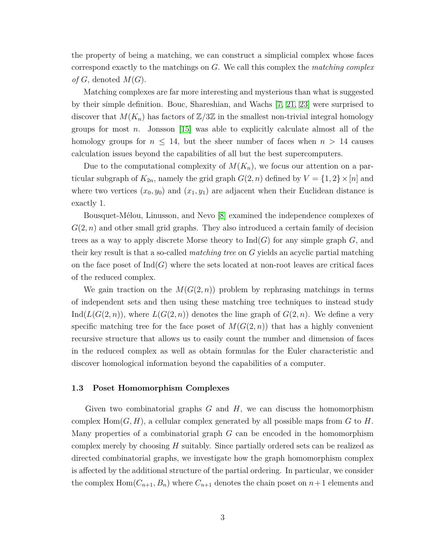the property of being a matching, we can construct a simplicial complex whose faces correspond exactly to the matchings on *G*. We call this complex the *matching complex of*  $G$ , denoted  $M(G)$ .

Matching complexes are far more interesting and mysterious than what is suggested by their simple definition. Bouc, Shareshian, and Wachs [\[7,](#page-52-3) [21,](#page-53-1) [23\]](#page-53-2) were surprised to discover that  $M(K_n)$  has factors of  $\mathbb{Z}/3\mathbb{Z}$  in the smallest non-trivial integral homology groups for most *n*. Jonsson [\[15\]](#page-52-2) was able to explicitly calculate almost all of the homology groups for  $n \leq 14$ , but the sheer number of faces when  $n > 14$  causes calculation issues beyond the capabilities of all but the best supercomputers.

Due to the computational complexity of  $M(K_n)$ , we focus our attention on a particular subgraph of  $K_{2n}$ , namely the grid graph  $G(2, n)$  defined by  $V = \{1, 2\} \times [n]$  and where two vertices  $(x_0, y_0)$  and  $(x_1, y_1)$  are adjacent when their Euclidean distance is exactly 1.

Bousquet-Mélou, Linusson, and Nevo [\[8\]](#page-52-4) examined the independence complexes of *G*(2*, n*) and other small grid graphs. They also introduced a certain family of decision trees as a way to apply discrete Morse theory to  $\text{Ind}(G)$  for any simple graph  $G$ , and their key result is that a so-called *matching tree* on *G* yields an acyclic partial matching on the face poset of  $\text{Ind}(G)$  where the sets located at non-root leaves are critical faces of the reduced complex.

We gain traction on the  $M(G(2, n))$  problem by rephrasing matchings in terms of independent sets and then using these matching tree techniques to instead study Ind( $L(G(2, n))$ , where  $L(G(2, n))$  denotes the line graph of  $G(2, n)$ . We define a very specific matching tree for the face poset of  $M(G(2, n))$  that has a highly convenient recursive structure that allows us to easily count the number and dimension of faces in the reduced complex as well as obtain formulas for the Euler characteristic and discover homological information beyond the capabilities of a computer.

#### <span id="page-13-0"></span>**1.3 Poset Homomorphism Complexes**

Given two combinatorial graphs *G* and *H*, we can discuss the homomorphism complex Hom(*G, H*), a cellular complex generated by all possible maps from *G* to *H*. Many properties of a combinatorial graph *G* can be encoded in the homomorphism complex merely by choosing *H* suitably. Since partially ordered sets can be realized as directed combinatorial graphs, we investigate how the graph homomorphism complex is affected by the additional structure of the partial ordering. In particular, we consider the complex  $Hom(C_{n+1}, B_n)$  where  $C_{n+1}$  denotes the chain poset on  $n+1$  elements and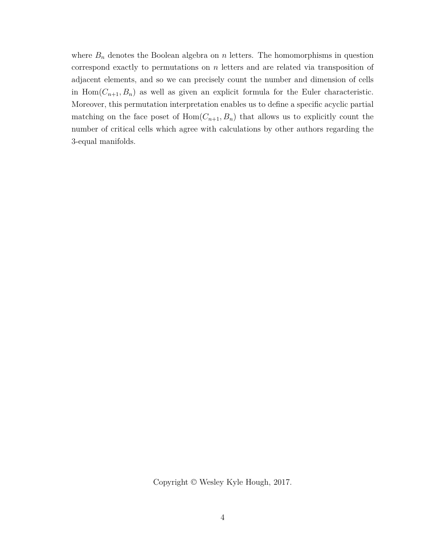where  $B_n$  denotes the Boolean algebra on  $n$  letters. The homomorphisms in question correspond exactly to permutations on *n* letters and are related via transposition of adjacent elements, and so we can precisely count the number and dimension of cells in  $Hom(C_{n+1}, B_n)$  as well as given an explicit formula for the Euler characteristic. Moreover, this permutation interpretation enables us to define a specific acyclic partial matching on the face poset of  $Hom(C_{n+1}, B_n)$  that allows us to explicitly count the number of critical cells which agree with calculations by other authors regarding the 3-equal manifolds.

Copyright © Wesley Kyle Hough, 2017.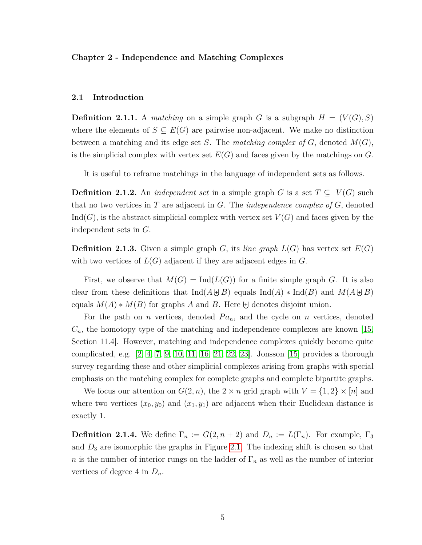#### <span id="page-15-0"></span>**Chapter 2 - Independence and Matching Complexes**

#### <span id="page-15-1"></span>**2.1 Introduction**

**Definition 2.1.1.** A *matching* on a simple graph *G* is a subgraph  $H = (V(G), S)$ where the elements of  $S \subseteq E(G)$  are pairwise non-adjacent. We make no distinction between a matching and its edge set *S*. The *matching complex of G*, denoted *M*(*G*), is the simplicial complex with vertex set  $E(G)$  and faces given by the matchings on  $G$ .

It is useful to reframe matchings in the language of independent sets as follows.

**Definition 2.1.2.** An *independent set* in a simple graph *G* is a set  $T \subseteq V(G)$  such that no two vertices in *T* are adjacent in *G*. The *independence complex of G*, denoted Ind( $G$ ), is the abstract simplicial complex with vertex set  $V(G)$  and faces given by the independent sets in *G*.

**Definition 2.1.3.** Given a simple graph *G*, its *line graph*  $L(G)$  has vertex set  $E(G)$ with two vertices of *L*(*G*) adjacent if they are adjacent edges in *G*.

First, we observe that  $M(G) = \text{Ind}(L(G))$  for a finite simple graph *G*. It is also clear from these definitions that  $\text{Ind}(A \cup B)$  equals  $\text{Ind}(A) * \text{Ind}(B)$  and  $M(A \cup B)$ equals  $M(A) * M(B)$  for graphs *A* and *B*. Here  $\biguplus$  denotes disjoint union.

For the path on *n* vertices, denoted  $Pa_n$ , and the cycle on *n* vertices, denoted  $C_n$ , the homotopy type of the matching and independence complexes are known [\[15,](#page-52-2) Section 11.4]. However, matching and independence complexes quickly become quite complicated, e.g. [\[2,](#page-52-5) [4,](#page-52-6) [7,](#page-52-3) [9,](#page-52-7) [10,](#page-52-8) [11,](#page-52-9) [16,](#page-52-10) [21,](#page-53-1) [22,](#page-53-3) [23\]](#page-53-2). Jonsson [\[15\]](#page-52-2) provides a thorough survey regarding these and other simplicial complexes arising from graphs with special emphasis on the matching complex for complete graphs and complete bipartite graphs.

We focus our attention on  $G(2, n)$ , the  $2 \times n$  grid graph with  $V = \{1, 2\} \times [n]$  and where two vertices  $(x_0, y_0)$  and  $(x_1, y_1)$  are adjacent when their Euclidean distance is exactly 1.

**Definition 2.1.4.** We define  $\Gamma_n := G(2, n+2)$  and  $D_n := L(\Gamma_n)$ . For example,  $\Gamma_3$ and *D*<sup>3</sup> are isomorphic the graphs in Figure [2.1.](#page-16-1) The indexing shift is chosen so that *n* is the number of interior rungs on the ladder of Γ*<sup>n</sup>* as well as the number of interior vertices of degree 4 in *Dn*.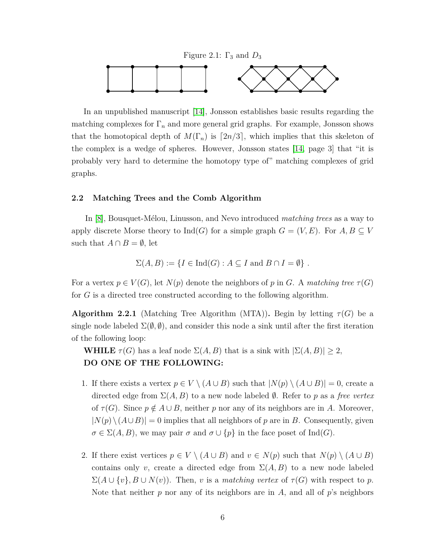<span id="page-16-1"></span>

In an unpublished manuscript [\[14\]](#page-52-11), Jonsson establishes basic results regarding the matching complexes for  $\Gamma_n$  and more general grid graphs. For example, Jonsson shows that the homotopical depth of  $M(\Gamma_n)$  is  $[2n/3]$ , which implies that this skeleton of the complex is a wedge of spheres. However, Jonsson states [\[14,](#page-52-11) page 3] that "it is probably very hard to determine the homotopy type of" matching complexes of grid graphs.

#### <span id="page-16-0"></span>**2.2 Matching Trees and the Comb Algorithm**

In [\[8\]](#page-52-4), Bousquet-M´elou, Linusson, and Nevo introduced *matching trees* as a way to apply discrete Morse theory to  $\text{Ind}(G)$  for a simple graph  $G = (V, E)$ . For  $A, B \subseteq V$ such that  $A \cap B = \emptyset$ , let

$$
\Sigma(A, B) := \{ I \in \text{Ind}(G) : A \subseteq I \text{ and } B \cap I = \emptyset \} .
$$

For a vertex  $p \in V(G)$ , let  $N(p)$  denote the neighbors of p in *G*. A matching tree  $\tau(G)$ for *G* is a directed tree constructed according to the following algorithm.

**Algorithm 2.2.1** (Matching Tree Algorithm (MTA)). Begin by letting  $\tau(G)$  be a single node labeled  $\Sigma(\emptyset, \emptyset)$ , and consider this node a sink until after the first iteration of the following loop:

**WHILE**  $\tau(G)$  has a leaf node  $\Sigma(A, B)$  that is a sink with  $|\Sigma(A, B)| \geq 2$ , **DO ONE OF THE FOLLOWING:**

- 1. If there exists a vertex  $p \in V \setminus (A \cup B)$  such that  $|N(p) \setminus (A \cup B)| = 0$ , create a directed edge from Σ(*A, B*) to a new node labeled ∅. Refer to *p* as a *free vertex* of  $\tau(G)$ . Since  $p \notin A \cup B$ , neither p nor any of its neighbors are in A. Moreover,  $|N(p) \setminus (A \cup B)| = 0$  implies that all neighbors of *p* are in *B*. Consequently, given  $\sigma \in \Sigma(A, B)$ , we may pair  $\sigma$  and  $\sigma \cup \{p\}$  in the face poset of Ind(*G*).
- 2. If there exist vertices  $p \in V \setminus (A \cup B)$  and  $v \in N(p)$  such that  $N(p) \setminus (A \cup B)$ contains only *v*, create a directed edge from  $\Sigma(A, B)$  to a new node labeled  $\Sigma(A \cup \{v\}, B \cup N(v))$ . Then, *v* is a *matching vertex* of  $\tau(G)$  with respect to *p*. Note that neither *p* nor any of its neighbors are in *A*, and all of *p*'s neighbors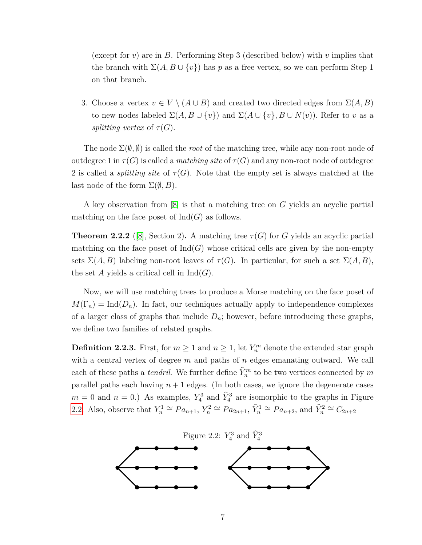(except for *v*) are in *B*. Performing Step 3 (described below) with *v* implies that the branch with  $\Sigma(A, B \cup \{v\})$  has *p* as a free vertex, so we can perform Step 1 on that branch.

3. Choose a vertex  $v \in V \setminus (A \cup B)$  and created two directed edges from  $\Sigma(A, B)$ to new nodes labeled  $\Sigma(A, B \cup \{v\})$  and  $\Sigma(A \cup \{v\}, B \cup N(v))$ . Refer to *v* as a *splitting vertex* of  $\tau(G)$ .

The node  $\Sigma(\emptyset, \emptyset)$  is called the *root* of the matching tree, while any non-root node of outdegree 1 in  $\tau(G)$  is called a *matching site* of  $\tau(G)$  and any non-root node of outdegree 2 is called a *splitting site* of  $\tau(G)$ . Note that the empty set is always matched at the last node of the form  $\Sigma(\emptyset, B)$ .

A key observation from [\[8\]](#page-52-4) is that a matching tree on *G* yields an acyclic partial matching on the face poset of  $\mathrm{Ind}(G)$  as follows.

**Theorem 2.2.2** ([\[8\]](#page-52-4), Section 2). A matching tree  $\tau(G)$  for *G* yields an acyclic partial matching on the face poset of  $\text{Ind}(G)$  whose critical cells are given by the non-empty sets  $\Sigma(A, B)$  labeling non-root leaves of  $\tau(G)$ . In particular, for such a set  $\Sigma(A, B)$ , the set A yields a critical cell in  $\mathrm{Ind}(G)$ .

Now, we will use matching trees to produce a Morse matching on the face poset of  $M(\Gamma_n) = \text{Ind}(D_n)$ . In fact, our techniques actually apply to independence complexes of a larger class of graphs that include  $D_n$ ; however, before introducing these graphs, we define two families of related graphs.

**Definition 2.2.3.** First, for  $m \geq 1$  and  $n \geq 1$ , let  $Y_n^m$  denote the extended star graph with a central vertex of degree *m* and paths of *n* edges emanating outward. We call each of these paths a *tendril*. We further define  $\hat{Y}_n^m$  to be two vertices connected by  $m$ parallel paths each having  $n + 1$  edges. (In both cases, we ignore the degenerate cases  $m = 0$  and  $n = 0$ .) As examples,  $Y_4^3$  and  $\hat{Y}_4^3$  are isomorphic to the graphs in Figure [2.2.](#page-17-0) Also, observe that  $Y_n^1 \cong Pa_{n+1}$ ,  $Y_n^2 \cong Pa_{2n+1}$ ,  $\hat{Y}_n^1 \cong Pa_{n+2}$ , and  $\hat{Y}_n^2 \cong C_{2n+2}$ 

<span id="page-17-0"></span>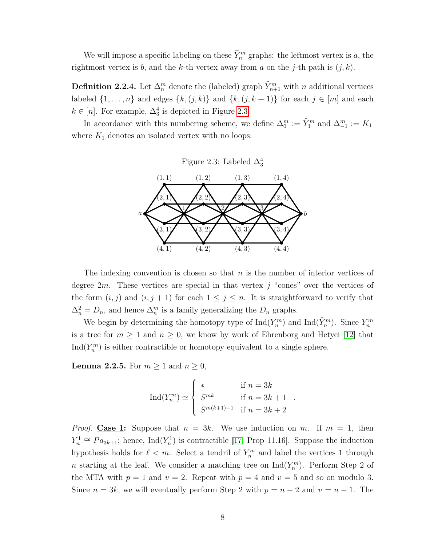We will impose a specific labeling on these  $\hat{Y}_n^m$  graphs: the leftmost vertex is a, the rightmost vertex is *b*, and the *k*-th vertex away from *a* on the *j*-th path is (*j, k*).

<span id="page-18-2"></span>**Definition 2.2.4.** Let  $\Delta_n^m$  denote the (labeled) graph  $\hat{Y}_{n+1}^m$  with *n* additional vertices labeled  $\{1, \ldots, n\}$  and edges  $\{k, (j, k)\}$  and  $\{k, (j, k+1)\}$  for each  $j \in [m]$  and each  $k \in [n]$ . For example,  $\Delta_3^4$  is depicted in Figure [2.3.](#page-18-0)

In accordance with this numbering scheme, we define  $\Delta_0^m := \hat{Y}_1^m$  and  $\Delta_{-1}^m := K_1$ where  $K_1$  denotes an isolated vertex with no loops.

<span id="page-18-0"></span>



The indexing convention is chosen so that *n* is the number of interior vertices of degree 2*m*. These vertices are special in that vertex *j* "cones" over the vertices of the form  $(i, j)$  and  $(i, j + 1)$  for each  $1 \leq j \leq n$ . It is straightforward to verify that  $\Delta_n^2 = D_n$ , and hence  $\Delta_n^m$  is a family generalizing the  $D_n$  graphs.

We begin by determining the homotopy type of  $\text{Ind}(Y_n^m)$  and  $\text{Ind}(\hat{Y}_n^m)$ . Since  $Y_n^m$ is a tree for  $m \geq 1$  and  $n \geq 0$ , we know by work of Ehrenborg and Hetyei [\[12\]](#page-52-12) that  $\text{Ind}(Y_n^m)$  is either contractible or homotopy equivalent to a single sphere.

<span id="page-18-1"></span>**Lemma 2.2.5.** For  $m \geq 1$  and  $n \geq 0$ ,

$$
\operatorname{Ind}(Y_n^m) \simeq \begin{cases} * & \text{if } n = 3k \\ S^{mk} & \text{if } n = 3k + 1 \\ S^{m(k+1)-1} & \text{if } n = 3k + 2 \end{cases}.
$$

*Proof.* Case 1: Suppose that  $n = 3k$ . We use induction on *m*. If  $m = 1$ , then  $Y_n^1 \cong Pa_{3k+1}$ ; hence, Ind( $Y_n^1$ ) is contractible [\[17,](#page-53-0) Prop 11.16]. Suppose the induction hypothesis holds for  $\ell < m$ . Select a tendril of  $Y_n^m$  and label the vertices 1 through *n* starting at the leaf. We consider a matching tree on  $\text{Ind}(Y_n^m)$ . Perform Step 2 of the MTA with  $p = 1$  and  $v = 2$ . Repeat with  $p = 4$  and  $v = 5$  and so on modulo 3. Since  $n = 3k$ , we will eventually perform Step 2 with  $p = n - 2$  and  $v = n - 1$ . The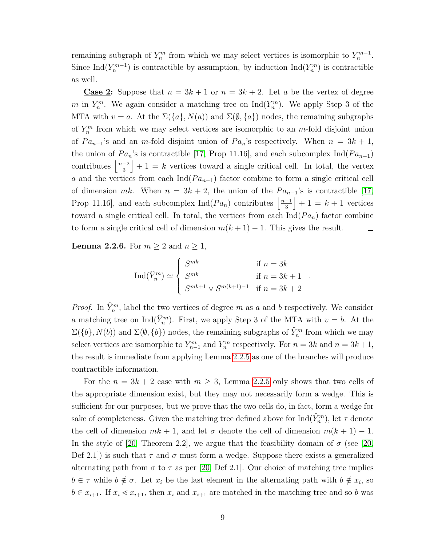remaining subgraph of  $Y_n^m$  from which we may select vertices is isomorphic to  $Y_n^{m-1}$ . Since  $\text{Ind}(Y_n^{m-1})$  is contractible by assumption, by induction  $\text{Ind}(Y_n^m)$  is contractible as well.

**Case 2:** Suppose that  $n = 3k + 1$  or  $n = 3k + 2$ . Let *a* be the vertex of degree *m* in  $Y_n^m$ . We again consider a matching tree on  $\text{Ind}(Y_n^m)$ . We apply Step 3 of the MTA with  $v = a$ . At the  $\Sigma({a}, N(a))$  and  $\Sigma(\emptyset, {a})$  nodes, the remaining subgraphs of  $Y_n^m$  from which we may select vertices are isomorphic to an *m*-fold disjoint union of  $Pa_{n-1}$ 's and an *m*-fold disjoint union of  $Pa_n$ 's respectively. When  $n = 3k + 1$ , the union of  $Pa_n$ 's is contractible [\[17,](#page-53-0) Prop 11.16], and each subcomplex Ind( $Pa_{n-1}$ ) contributes  $\frac{n-2}{3}$  $+ 1 = k$  vertices toward a single critical cell. In total, the vertex 3 *a* and the vertices from each  $Ind(Pa_{n-1})$  factor combine to form a single critical cell of dimension  $mk$ . When  $n = 3k + 2$ , the union of the  $Pa_{n-1}$ 's is contractible [\[17,](#page-53-0) Prop 11.16], and each subcomplex Ind( $Pa_n$ ) contributes  $\frac{n-1}{3}$  $+1 = k + 1$  vertices 3 toward a single critical cell. In total, the vertices from each  $\text{Ind}(Pa_n)$  factor combine to form a single critical cell of dimension  $m(k + 1) - 1$ . This gives the result.  $\Box$ 

<span id="page-19-0"></span>**Lemma 2.2.6.** For  $m \geq 2$  and  $n \geq 1$ ,

$$
\operatorname{Ind}(\widehat{Y}_n^m) \simeq \begin{cases} S^{mk} & \text{if } n = 3k \\ S^{mk} & \text{if } n = 3k + 1 \\ S^{mk+1} \vee S^{m(k+1)-1} & \text{if } n = 3k + 2 \end{cases}.
$$

*Proof.* In  $\hat{Y}_n^m$ , label the two vertices of degree *m* as *a* and *b* respectively. We consider a matching tree on  $\text{Ind}(\hat{Y}_n^m)$ . First, we apply Step 3 of the MTA with  $v = b$ . At the  $\Sigma(\{b\}, N(b))$  and  $\Sigma(\emptyset, \{b\})$  nodes, the remaining subgraphs of  $\hat{Y}^m_n$  from which we may select vertices are isomorphic to  $Y_{n-1}^m$  and  $Y_n^m$  respectively. For  $n = 3k$  and  $n = 3k + 1$ , the result is immediate from applying Lemma [2.2.5](#page-18-1) as one of the branches will produce contractible information.

For the  $n = 3k + 2$  case with  $m \geq 3$ , Lemma [2.2.5](#page-18-1) only shows that two cells of the appropriate dimension exist, but they may not necessarily form a wedge. This is sufficient for our purposes, but we prove that the two cells do, in fact, form a wedge for sake of completeness. Given the matching tree defined above for  $\text{Ind}(\widehat{Y}_n^m)$ , let  $\tau$  denote the cell of dimension  $mk + 1$ , and let  $\sigma$  denote the cell of dimension  $m(k + 1) - 1$ . In the style of [\[20,](#page-53-4) Theorem 2.2], we argue that the feasibility domain of  $\sigma$  (see [20, Def 2.1) is such that  $\tau$  and  $\sigma$  must form a wedge. Suppose there exists a generalized alternating path from  $\sigma$  to  $\tau$  as per [\[20,](#page-53-4) Def 2.1]. Our choice of matching tree implies  $b \in \tau$  while  $b \notin \sigma$ . Let  $x_i$  be the last element in the alternating path with  $b \notin x_i$ , so  $b \in x_{i+1}$ . If  $x_i \leq x_{i+1}$ , then  $x_i$  and  $x_{i+1}$  are matched in the matching tree and so *b* was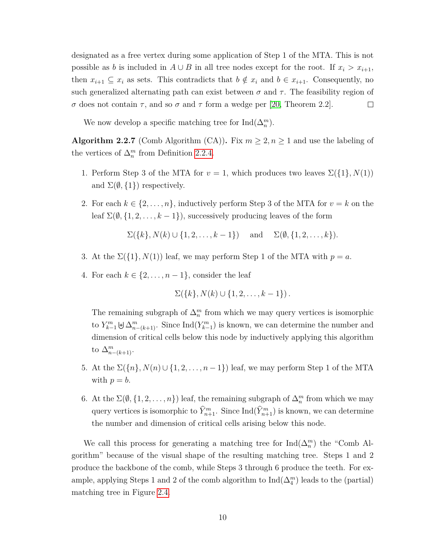designated as a free vertex during some application of Step 1 of the MTA. This is not possible as *b* is included in  $A \cup B$  in all tree nodes except for the root. If  $x_i > x_{i+1}$ , then  $x_{i+1} \subseteq x_i$  as sets. This contradicts that  $b \notin x_i$  and  $b \in x_{i+1}$ . Consequently, no such generalized alternating path can exist between  $\sigma$  and  $\tau$ . The feasibility region of *σ* does not contain *τ*, and so *σ* and *τ* form a wedge per [\[20,](#page-53-4) Theorem 2.2].  $\Box$ 

We now develop a specific matching tree for  $\text{Ind}(\Delta_n^m)$ .

**Algorithm 2.2.7** (Comb Algorithm (CA)). Fix  $m \geq 2, n \geq 1$  and use the labeling of the vertices of  $\Delta_n^m$  from Definition [2.2.4.](#page-18-2)

- 1. Perform Step 3 of the MTA for  $v = 1$ , which produces two leaves  $\Sigma({1}, N(1))$ and  $\Sigma(\emptyset, \{1\})$  respectively.
- 2. For each  $k \in \{2, \ldots, n\}$ , inductively perform Step 3 of the MTA for  $v = k$  on the leaf  $\Sigma(\emptyset, \{1, 2, ..., k-1\})$ , successively producing leaves of the form

$$
\Sigma({k}, N(k) \cup {1, 2, ..., k-1})
$$
 and  $\Sigma(\emptyset, {1, 2, ..., k})$ .

- 3. At the  $\Sigma({1}, N(1))$  leaf, we may perform Step 1 of the MTA with  $p = a$ .
- 4. For each  $k \in \{2, \ldots, n-1\}$ , consider the leaf

$$
\Sigma({k}, N(k) \cup {1, 2, ..., k-1})
$$
.

The remaining subgraph of  $\Delta_n^m$  from which we may query vertices is isomorphic to  $Y_{k-1}^m \not\in \Delta_{n-(k+1)}^m$ . Since  $\text{Ind}(Y_{k-1}^m)$  is known, we can determine the number and dimension of critical cells below this node by inductively applying this algorithm to  $\Delta_{n-(k+1)}^m$ .

- 5. At the  $\Sigma({n}, N(n) \cup {1, 2, ..., n-1})$  leaf, we may perform Step 1 of the MTA with  $p = b$ .
- 6. At the  $\Sigma(\emptyset, \{1, 2, \ldots, n\})$  leaf, the remaining subgraph of  $\Delta_n^m$  from which we may query vertices is isomorphic to  $\hat{Y}_{n+1}^m$ . Since  $\text{Ind}(\hat{Y}_{n+1}^m)$  is known, we can determine the number and dimension of critical cells arising below this node.

We call this process for generating a matching tree for  $\text{Ind}(\Delta_n^m)$  the "Comb Algorithm" because of the visual shape of the resulting matching tree. Steps 1 and 2 produce the backbone of the comb, while Steps 3 through 6 produce the teeth. For example, applying Steps 1 and 2 of the comb algorithm to  $\text{Ind}(\Delta_4^m)$  leads to the (partial) matching tree in Figure [2.4.](#page-21-2)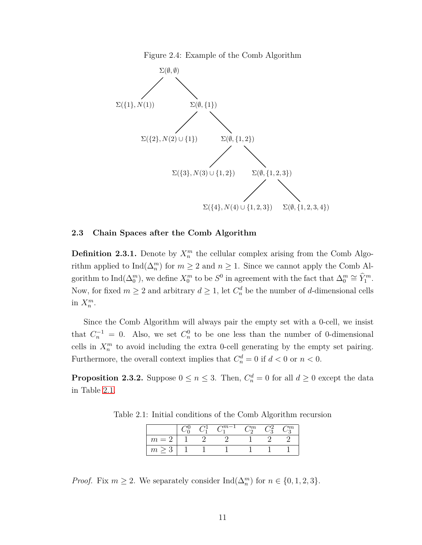<span id="page-21-2"></span>Figure 2.4: Example of the Comb Algorithm



#### <span id="page-21-0"></span>**2.3 Chain Spaces after the Comb Algorithm**

<span id="page-21-4"></span>**Definition 2.3.1.** Denote by  $X_n^m$  the cellular complex arising from the Comb Algorithm applied to  $\text{Ind}(\Delta_n^m)$  for  $m \geq 2$  and  $n \geq 1$ . Since we cannot apply the Comb Algorithm to  $\text{Ind}(\Delta_0^m)$ , we define  $X_0^m$  to be  $S^0$  in agreement with the fact that  $\Delta_0^m \cong \widehat{Y}_1^m$ . Now, for fixed  $m \geq 2$  and arbitrary  $d \geq 1$ , let  $C_n^d$  be the number of *d*-dimensional cells in  $X_n^m$ .

Since the Comb Algorithm will always pair the empty set with a 0-cell, we insist that  $C_n^{-1} = 0$ . Also, we set  $C_n^0$  to be one less than the number of 0-dimensional cells in  $X_n^m$  to avoid including the extra 0-cell generating by the empty set pairing. Furthermore, the overall context implies that  $C_n^d = 0$  if  $d < 0$  or  $n < 0$ .

<span id="page-21-3"></span>**Proposition 2.3.2.** Suppose  $0 \le n \le 3$ . Then,  $C_n^d = 0$  for all  $d \ge 0$  except the data in Table [2.1.](#page-21-1)

Table 2.1: Initial conditions of the Comb Algorithm recursion

<span id="page-21-1"></span>

|         |  | $\gamma m-1$ | $\gamma_m$ | $\mathbf{v}_m$ |
|---------|--|--------------|------------|----------------|
| $m = 1$ |  |              |            |                |
| m       |  |              |            |                |

*Proof.* Fix  $m \geq 2$ . We separately consider  $\text{Ind}(\Delta_n^m)$  for  $n \in \{0, 1, 2, 3\}$ .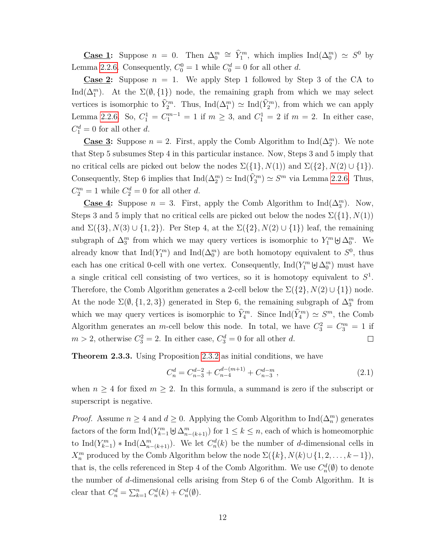**Case 1:** Suppose  $n = 0$ . Then  $\Delta_0^m \cong \hat{Y}_1^m$ , which implies Ind $(\Delta_0^m) \simeq S^0$  by Lemma [2.2.6.](#page-19-0) Consequently,  $C_0^0 = 1$  while  $C_0^d = 0$  for all other *d*.

**Case 2:** Suppose  $n = 1$ . We apply Step 1 followed by Step 3 of the CA to Ind( $\Delta_1^m$ ). At the  $\Sigma(\emptyset, \{1\})$  node, the remaining graph from which we may select vertices is isomorphic to  $\hat{Y}_2^m$ . Thus,  $\text{Ind}(\Delta_1^m) \simeq \text{Ind}(\hat{Y}_2^m)$ , from which we can apply Lemma [2.2.6.](#page-19-0) So,  $C_1^1 = C_1^{m-1} = 1$  if  $m \ge 3$ , and  $C_1^1 = 2$  if  $m = 2$ . In either case,  $C_1^d = 0$  for all other *d*.

**Case 3:** Suppose  $n = 2$ . First, apply the Comb Algorithm to Ind( $\Delta_2^m$ ). We note that Step 5 subsumes Step 4 in this particular instance. Now, Steps 3 and 5 imply that no critical cells are picked out below the nodes  $\Sigma({1}, N(1))$  and  $\Sigma({2}, N(2) \cup {1}).$ Consequently, Step 6 implies that  $\text{Ind}(\Delta_2^m) \simeq \text{Ind}(\widehat{Y}_3^m) \simeq S^m$  via Lemma [2.2.6.](#page-19-0) Thus,  $C_2^m = 1$  while  $C_2^d = 0$  for all other *d*.

**Case 4:** Suppose  $n = 3$ . First, apply the Comb Algorithm to Ind( $\Delta_3^m$ ). Now, Steps 3 and 5 imply that no critical cells are picked out below the nodes  $\Sigma({1}, N(1))$ and  $\Sigma({3}, N(3) \cup {1,2})$ . Per Step 4, at the  $\Sigma({2}, N(2) \cup {1})$  leaf, the remaining subgraph of  $\Delta_3^m$  from which we may query vertices is isomorphic to  $Y_1^m \boxminus \Delta_0^m$ . We already know that  $\text{Ind}(Y_1^m)$  and  $\text{Ind}(\Delta_0^m)$  are both homotopy equivalent to  $S^0$ , thus each has one critical 0-cell with one vertex. Consequently,  $\text{Ind}(Y_1^m \cup \Delta_0^m)$  must have a single critical cell consisting of two vertices, so it is homotopy equivalent to *S* 1 . Therefore, the Comb Algorithm generates a 2-cell below the  $\Sigma({2}, N(2) \cup {1})$  node. At the node  $\Sigma(\emptyset, \{1, 2, 3\})$  generated in Step 6, the remaining subgraph of  $\Delta_3^m$  from which we may query vertices is isomorphic to  $\hat{Y}_4^m$ . Since  $\text{Ind}(\hat{Y}_4^m) \simeq S^m$ , the Comb Algorithm generates an *m*-cell below this node. In total, we have  $C_3^2 = C_3^m = 1$  if  $m > 2$ , otherwise  $C_3^2 = 2$ . In either case,  $C_3^d = 0$  for all other *d*. П

<span id="page-22-1"></span>**Theorem 2.3.3.** Using Proposition [2.3.2](#page-21-3) as initial conditions, we have

<span id="page-22-0"></span>
$$
C_n^d = C_{n-3}^{d-2} + C_{n-4}^{d-(m+1)} + C_{n-3}^{d-m}, \qquad (2.1)
$$

when  $n \geq 4$  for fixed  $m \geq 2$ . In this formula, a summand is zero if the subscript or superscript is negative.

*Proof.* Assume  $n \geq 4$  and  $d \geq 0$ . Applying the Comb Algorithm to Ind $(\Delta_n^m)$  generates factors of the form  $\text{Ind}(Y_{k-1}^m \cup \Delta_{n-(k+1)}^m)$  for  $1 \leq k \leq n$ , each of which is homeomorphic to  $\text{Ind}(Y_{k-1}^m) * \text{Ind}(\Delta_{n-(k+1)}^m)$ . We let  $C_n^d(k)$  be the number of *d*-dimensional cells in *X*<sup>*m*</sup> produced by the Comb Algorithm below the node  $\Sigma({k}, N(k) \cup {1, 2, ..., k-1})$ , that is, the cells referenced in Step 4 of the Comb Algorithm. We use  $C_n^d(\emptyset)$  to denote the number of *d*-dimensional cells arising from Step 6 of the Comb Algorithm. It is clear that  $C_n^d = \sum_{k=1}^n C_n^d(k) + C_n^d(\emptyset)$ .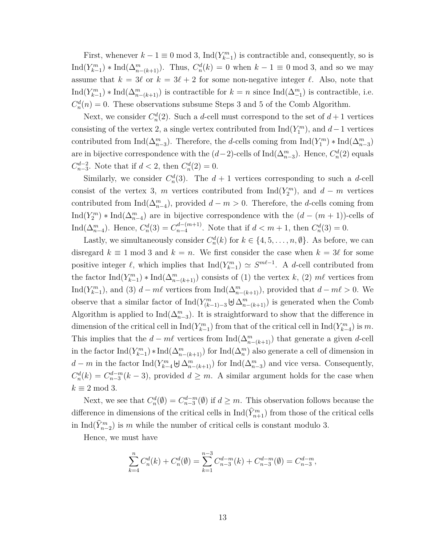First, whenever  $k - 1 \equiv 0 \mod 3$ , Ind $(Y_{k-1}^m)$  is contractible and, consequently, so is  $\text{Ind}(Y_{k-1}^m) * \text{Ind}(\Delta_{n-(k+1)}^m)$ . Thus,  $C_n^d(k) = 0$  when  $k-1 \equiv 0 \mod 3$ , and so we may assume that  $k = 3\ell$  or  $k = 3\ell + 2$  for some non-negative integer  $\ell$ . Also, note that Ind( $Y_{k-1}^m$ ) \* Ind( $\Delta_{n-(k+1)}^m$ ) is contractible for  $k=n$  since Ind( $\Delta_{-1}^m$ ) is contractible, i.e.  $C_n^d(n) = 0$ . These observations subsume Steps 3 and 5 of the Comb Algorithm.

Next, we consider  $C_n^d(2)$ . Such a *d*-cell must correspond to the set of  $d+1$  vertices consisting of the vertex 2, a single vertex contributed from  $\text{Ind}(Y_1^m)$ , and  $d-1$  vertices contributed from  $\text{Ind}(\Delta_{n-3}^m)$ . Therefore, the *d*-cells coming from  $\text{Ind}(Y_1^m) * \text{Ind}(\Delta_{n-3}^m)$ are in bijective correspondence with the  $(d-2)$ -cells of  $\text{Ind}(\Delta_{n-3}^m)$ . Hence,  $C_n^d(2)$  equals  $C_{n-3}^{d-2}$ . Note that if  $d < 2$ , then  $C_n^d(2) = 0$ .

Similarly, we consider  $C_n^d(3)$ . The  $d+1$  vertices corresponding to such a *d*-cell consist of the vertex 3, *m* vertices contributed from  $\text{Ind}(Y_2^m)$ , and  $d - m$  vertices contributed from  $\text{Ind}(\Delta_{n-4}^m)$ , provided  $d-m>0$ . Therefore, the *d*-cells coming from Ind( $Y_2^m$ ) \* Ind( $\Delta_{n-4}^m$ ) are in bijective correspondence with the  $(d - (m + 1))$ -cells of Ind( $\Delta_{n-4}^m$ ). Hence,  $C_n^d(3) = C_{n-4}^{d-(m+1)}$  $\binom{d-(m+1)}{n-4}$ . Note that if  $d < m+1$ , then  $C_n^d(3) = 0$ .

Lastly, we simultaneously consider  $C_n^d(k)$  for  $k \in \{4, 5, \ldots, n, \emptyset\}$ . As before, we can disregard  $k \equiv 1 \mod 3$  and  $k = n$ . We first consider the case when  $k = 3\ell$  for some positive integer  $\ell$ , which implies that  $\text{Ind}(Y_{k-1}^m) \simeq S^{m\ell-1}$ . A *d*-cell contributed from the factor  $\text{Ind}(Y_{k-1}^m) * \text{Ind}(\Delta_{n-(k+1)}^m)$  consists of (1) the vertex *k*, (2)  $m\ell$  vertices from Ind( $Y_{k-1}^m$ ), and (3) *d* − *m* $\ell$  vertices from Ind( $\Delta_{n-(k+1)}^m$ ), provided that *d* − *m* $\ell$  > 0. We observe that a similar factor of  $\text{Ind}(Y^m_{(k-1)-3} \uplus \Delta^m_{n-(k+1)})$  is generated when the Comb Algorithm is applied to  $\text{Ind}(\Delta_{n-3}^m)$ . It is straightforward to show that the difference in dimension of the critical cell in  $\text{Ind}(Y_{k-1}^m)$  from that of the critical cell in  $\text{Ind}(Y_{k-4}^m)$  is *m*. This implies that the  $d - m\ell$  vertices from  $\text{Ind}(\Delta_{n-(k+1)}^m)$  that generate a given *d*-cell in the factor  $\text{Ind}(Y_{k-1}^m) * \text{Ind}(\Delta_{n-(k+1)}^m)$  for  $\text{Ind}(\Delta_n^m)$  also generate a cell of dimension in *d* − *m* in the factor Ind( $Y_{k-4}^m$   $\uplus \Delta_{n-(k+1)}^m$ ) for Ind( $\Delta_{n-3}^m$ ) and vice versa. Consequently,  $C_n^d(k) = C_{n-3}^{d-m}(k-3)$ , provided  $d \geq m$ . A similar argument holds for the case when  $k \equiv 2 \mod 3$ .

Next, we see that  $C_n^d(\emptyset) = C_{n-3}^{d-m}(\emptyset)$  if  $d \geq m$ . This observation follows because the difference in dimensions of the critical cells in  $\text{Ind}(\hat{Y}_{n+1}^m)$  from those of the critical cells in  $\text{Ind}(\widehat{Y}_{n-2}^m)$  is *m* while the number of critical cells is constant modulo 3.

Hence, we must have

$$
\sum_{k=4}^{n} C_n^d(k) + C_n^d(\emptyset) = \sum_{k=1}^{n-3} C_{n-3}^{d-m}(k) + C_{n-3}^{d-m}(\emptyset) = C_{n-3}^{d-m},
$$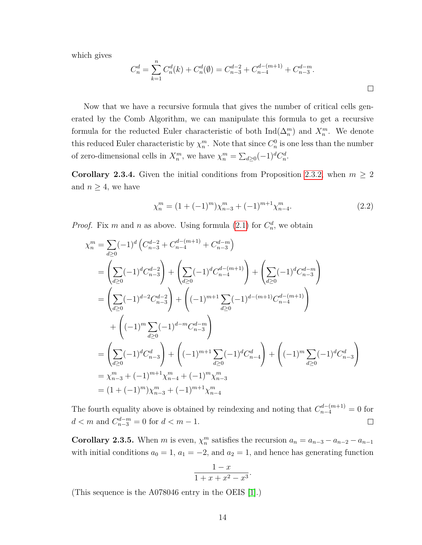which gives

$$
C_n^d = \sum_{k=1}^n C_n^d(k) + C_n^d(\emptyset) = C_{n-3}^{d-2} + C_{n-4}^{d-(m+1)} + C_{n-3}^{d-m}.
$$

Now that we have a recursive formula that gives the number of critical cells generated by the Comb Algorithm, we can manipulate this formula to get a recursive formula for the reducted Euler characteristic of both  $\text{Ind}(\Delta_n^m)$  and  $X_n^m$ . We denote this reduced Euler characteristic by  $\chi_n^m$ . Note that since  $C_n^0$  is one less than the number of zero-dimensional cells in  $X_n^m$ , we have  $\chi_n^m = \sum_{d \geq 0} (-1)^d C_n^d$ .

**Corollary 2.3.4.** Given the initial conditions from Proposition [2.3.2,](#page-21-3) when  $m \geq 2$ and  $n \geq 4$ , we have

$$
\chi_n^m = (1 + (-1)^m) \chi_{n-3}^m + (-1)^{m+1} \chi_{n-4}^m.
$$
 (2.2)

*Proof.* Fix *m* and *n* as above. Using formula [\(2.1\)](#page-22-0) for  $C_n^d$ , we obtain

$$
\chi_n^m = \sum_{d\geq 0} (-1)^d \left( C_{n-3}^{d-2} + C_{n-4}^{d-(m+1)} + C_{n-3}^{d-m} \right)
$$
  
\n
$$
= \left( \sum_{d\geq 0} (-1)^d C_{n-3}^{d-2} \right) + \left( \sum_{d\geq 0} (-1)^d C_{n-4}^{d-(m+1)} \right) + \left( \sum_{d\geq 0} (-1)^d C_{n-3}^{d-m} \right)
$$
  
\n
$$
= \left( \sum_{d\geq 0} (-1)^{d-2} C_{n-3}^{d-2} \right) + \left( (-1)^{m+1} \sum_{d\geq 0} (-1)^{d-(m+1)} C_{n-4}^{d-(m+1)} \right)
$$
  
\n
$$
+ \left( (-1)^m \sum_{d\geq 0} (-1)^{d-m} C_{n-3}^{d-m} \right)
$$
  
\n
$$
= \left( \sum_{d\geq 0} (-1)^d C_{n-3}^d \right) + \left( (-1)^{m+1} \sum_{d\geq 0} (-1)^d C_{n-4}^d \right) + \left( (-1)^m \sum_{d\geq 0} (-1)^d C_{n-3}^d \right)
$$
  
\n
$$
= \chi_{n-3}^m + (-1)^{m+1} \chi_{n-4}^m + (-1)^m \chi_{n-4}^m
$$
  
\n
$$
= (1 + (-1)^m) \chi_{n-3}^m + (-1)^{m+1} \chi_{n-4}^m
$$

The fourth equality above is obtained by reindexing and noting that  $C_{n-4}^{d-(m+1)} = 0$  for  $d < m$  and  $C_{n-3}^{d-m} = 0$  for  $d < m - 1$ .  $\Box$ 

**Corollary 2.3.5.** When *m* is even,  $\chi_n^m$  satisfies the recursion  $a_n = a_{n-3} - a_{n-2} - a_{n-1}$ with initial conditions  $a_0 = 1$ ,  $a_1 = -2$ , and  $a_2 = 1$ , and hence has generating function

$$
\frac{1-x}{1+x+x^2-x^3}.
$$

(This sequence is the A078046 entry in the OEIS [\[1\]](#page-52-13).)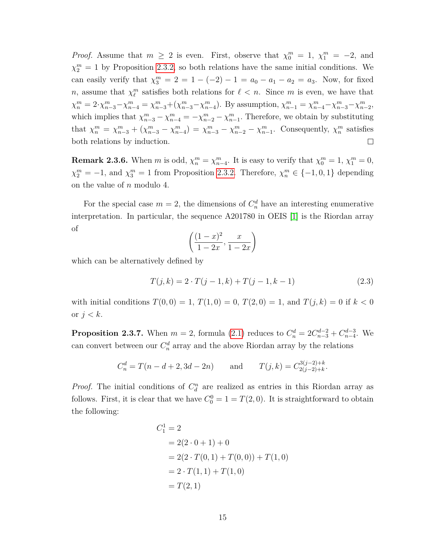*Proof.* Assume that  $m \geq 2$  is even. First, observe that  $\chi_0^m = 1$ ,  $\chi_1^m = -2$ , and  $\chi_2^m = 1$  by Proposition [2.3.2,](#page-21-3) so both relations have the same initial conditions. We can easily verify that  $\chi_3^m = 2 = 1 - (-2) - 1 = a_0 - a_1 - a_2 = a_3$ . Now, for fixed *n*, assume that  $\chi_{\ell}^m$  satisfies both relations for  $\ell < n$ . Since *m* is even, we have that  $\chi_n^m = 2 \cdot \chi_{n-3}^m - \chi_{n-4}^m = \chi_{n-3}^m + (\chi_{n-3}^m - \chi_{n-4}^m)$ . By assumption,  $\chi_{n-1}^m = \chi_{n-4}^m - \chi_{n-3}^m - \chi_{n-2}^m$ , which implies that  $\chi_{n-3}^m - \chi_{n-4}^m = -\chi_{n-2}^m - \chi_{n-1}^m$ . Therefore, we obtain by substituting that  $\chi_n^m = \chi_{n-3}^m + (\chi_{n-3}^m - \chi_{n-4}^m) = \chi_{n-3}^m - \chi_{n-2}^m - \chi_{n-1}^m$ . Consequently,  $\chi_n^m$  satisfies both relations by induction.  $\Box$ 

**Remark 2.3.6.** When *m* is odd,  $\chi_n^m = \chi_{n-4}^m$ . It is easy to verify that  $\chi_0^m = 1$ ,  $\chi_1^m = 0$ ,  $\chi_2^m = -1$ , and  $\chi_3^m = 1$  from Proposition [2.3.2.](#page-21-3) Therefore,  $\chi_n^m \in \{-1, 0, 1\}$  depending on the value of *n* modulo 4.

For the special case  $m = 2$ , the dimensions of  $C_n^d$  have an interesting enumerative interpretation. In particular, the sequence A201780 in OEIS [\[1\]](#page-52-13) is the Riordan array of

<span id="page-25-0"></span>
$$
\left(\frac{(1-x)^2}{1-2x}, \frac{x}{1-2x}\right)
$$

which can be alternatively defined by

$$
T(j,k) = 2 \cdot T(j-1,k) + T(j-1,k-1)
$$
\n(2.3)

with initial conditions  $T(0,0) = 1, T(1,0) = 0, T(2,0) = 1,$  and  $T(j,k) = 0$  if  $k < 0$ or *j < k*.

**Proposition 2.3.7.** When  $m = 2$ , formula [\(2.1\)](#page-22-0) reduces to  $C_n^d = 2C_{n-3}^{d-2} + C_{n-4}^{d-3}$ . We can convert between our  $C_n^d$  array and the above Riordan array by the relations

$$
C_n^d = T(n-d+2, 3d-2n)
$$
 and  $T(j,k) = C_{2(j-2)+k}^{3(j-2)+k}$ .

*Proof.* The initial conditions of  $C_d^n$  are realized as entries in this Riordan array as follows. First, it is clear that we have  $C_0^0 = 1 = T(2, 0)$ . It is straightforward to obtain the following:

$$
C_1^1 = 2
$$
  
= 2(2 \cdot 0 + 1) + 0  
= 2(2 \cdot T(0, 1) + T(0, 0)) + T(1, 0)  
= 2 \cdot T(1, 1) + T(1, 0)  
= T(2, 1)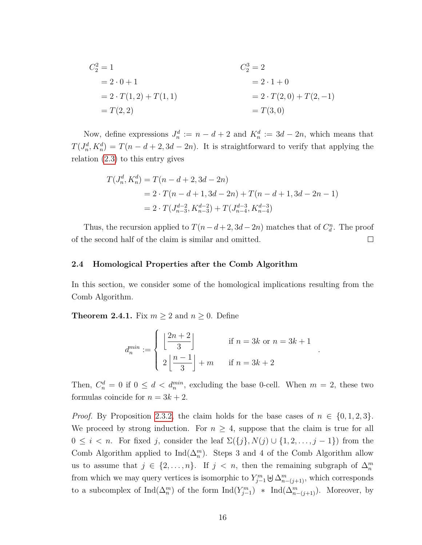$$
C_2^2 = 1
$$
  
= 2 \cdot 0 + 1  
= 2 \cdot T(1,2) + T(1,1)  
= T(2,2) = T(3,0)  

$$
T(3,0)
$$
  

$$
= T(3,0)
$$

Now, define expressions  $J_n^d := n - d + 2$  and  $K_n^d := 3d - 2n$ , which means that  $T(J_n^d, K_n^d) = T(n - d + 2, 3d - 2n)$ . It is straightforward to verify that applying the relation [\(2.3\)](#page-25-0) to this entry gives

$$
T(J_n^d, K_n^d) = T(n - d + 2, 3d - 2n)
$$
  
= 2 \cdot T(n - d + 1, 3d - 2n) + T(n - d + 1, 3d - 2n - 1)  
= 2 \cdot T(J\_{n-3}^{d-2}, K\_{n-3}^{d-2}) + T(J\_{n-4}^{d-3}, K\_{n-4}^{d-3})

Thus, the recursion applied to  $T(n-d+2, 3d-2n)$  matches that of  $C_d^n$ . The proof of the second half of the claim is similar and omitted.  $\Box$ 

#### <span id="page-26-0"></span>**2.4 Homological Properties after the Comb Algorithm**

In this section, we consider some of the homological implications resulting from the Comb Algorithm.

<span id="page-26-1"></span>**Theorem 2.4.1.** Fix  $m \geq 2$  and  $n \geq 0$ . Define

$$
d_n^{min} := \begin{cases} \left\lfloor \frac{2n+2}{3} \right\rfloor & \text{if } n = 3k \text{ or } n = 3k+1\\ 2\left\lfloor \frac{n-1}{3} \right\rfloor + m & \text{if } n = 3k+2 \end{cases}
$$

*.*

Then,  $C_n^d = 0$  if  $0 \leq d < d_n^{min}$ , excluding the base 0-cell. When  $m = 2$ , these two formulas coincide for  $n = 3k + 2$ .

*Proof.* By Proposition [2.3.2,](#page-21-3) the claim holds for the base cases of  $n \in \{0, 1, 2, 3\}$ . We proceed by strong induction. For  $n \geq 4$ , suppose that the claim is true for all  $0 \leq i < n$ . For fixed *j*, consider the leaf  $\Sigma({j}, N(j) \cup {1, 2, ..., j - 1})$  from the Comb Algorithm applied to  $\text{Ind}(\Delta_n^m)$ . Steps 3 and 4 of the Comb Algorithm allow us to assume that  $j \in \{2, \ldots, n\}$ . If  $j < n$ , then the remaining subgraph of  $\Delta_n^m$ from which we may query vertices is isomorphic to  $Y_{j-1}^m \biguplus \Delta_{n-(j+1)}^m$ , which corresponds to a subcomplex of  $\text{Ind}(\Delta_n^m)$  of the form  $\text{Ind}(Y_{j-1}^m)$  \*  $\text{Ind}(\Delta_{n-(j+1)}^m)$ . Moreover, by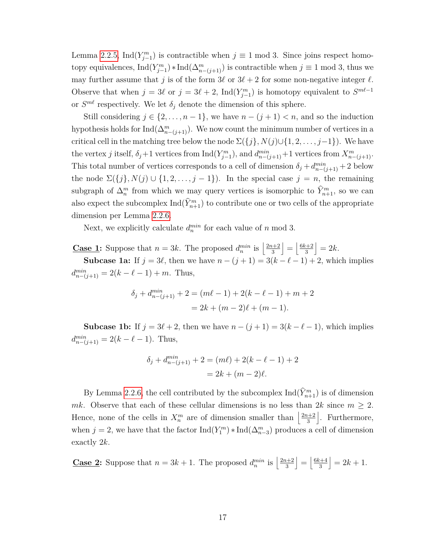Lemma [2.2.5,](#page-18-1) Ind( $Y_{j-1}^m$ ) is contractible when  $j \equiv 1 \mod 3$ . Since joins respect homotopy equivalences,  $\text{Ind}(Y_{j-1}^m) * \text{Ind}(\Delta_{n-(j+1)}^m)$  is contractible when  $j \equiv 1 \text{ mod } 3$ , thus we may further assume that *j* is of the form  $3\ell$  or  $3\ell + 2$  for some non-negative integer  $\ell$ . Observe that when  $j = 3\ell$  or  $j = 3\ell + 2$ , Ind $(Y_{j-1}^m)$  is homotopy equivalent to  $S^{m\ell-1}$ or  $S^{m\ell}$  respectively. We let  $\delta_j$  denote the dimension of this sphere.

Still considering  $j \in \{2, ..., n-1\}$ , we have  $n - (j + 1) < n$ , and so the induction hypothesis holds for  $\text{Ind}(\Delta_{n-(j+1)}^m)$ . We now count the minimum number of vertices in a critical cell in the matching tree below the node  $\Sigma({j}, N(j) \cup {1, 2, \ldots, j-1})$ . We have the vertex *j* itself,  $\delta_j$ +1 vertices from  $\text{Ind}(Y_{j-1}^m)$ , and  $d_{n-(j+1)}^{min}$ +1 vertices from  $X_{n-(j+1)}^m$ . This total number of vertices corresponds to a cell of dimension  $\delta_j + d_{n-(j+1)}^{min} + 2$  below the node  $\Sigma({j}, N(j) \cup {1, 2, ..., j - 1})$ . In the special case  $j = n$ , the remaining subgraph of  $\Delta_n^m$  from which we may query vertices is isomorphic to  $\hat{Y}_{n+1}^m$ , so we can also expect the subcomplex  $\text{Ind}(\hat{Y}_{n+1}^m)$  to contribute one or two cells of the appropriate dimension per Lemma [2.2.6.](#page-19-0)

Next, we explicitly calculate  $d_n^{min}$  for each value of *n* mod 3.

**Case 1:** Suppose that  $n = 3k$ . The proposed  $d_n^{min}$  is  $\left| \frac{2n+2}{3} \right|$ 3  $\Big| = \Big| \frac{6k+2}{3}$ 3  $= 2k$ .

**Subcase 1a:** If  $j = 3\ell$ , then we have  $n - (j + 1) = 3(k - \ell - 1) + 2$ , which implies  $d_{n-(j+1)}^{min} = 2(k - \ell - 1) + m$ . Thus,

$$
\delta_j + d_{n-(j+1)}^{min} + 2 = (m\ell - 1) + 2(k - \ell - 1) + m + 2
$$
  
= 2k + (m - 2)\ell + (m - 1).

**Subcase 1b:** If  $j = 3\ell + 2$ , then we have  $n - (j + 1) = 3(k - \ell - 1)$ , which implies  $d_{n-(j+1)}^{min} = 2(k - \ell - 1)$ . Thus,

$$
\delta_j + d_{n-(j+1)}^{min} + 2 = (m\ell) + 2(k - \ell - 1) + 2
$$
  
= 2k + (m - 2)\ell.

By Lemma [2.2.6,](#page-19-0) the cell contributed by the subcomplex  $\text{Ind}(\hat{Y}_{n+1}^m)$  is of dimension *mk*. Observe that each of these cellular dimensions is no less than  $2k$  since  $m \geq 2$ . Hence, none of the cells in  $X_n^m$  are of dimension smaller than  $\left|\frac{2n+2}{3}\right|$ 3 |. Furthermore, when  $j = 2$ , we have that the factor  $\text{Ind}(Y_1^m) * \text{Ind}(\Delta_{n-3}^m)$  produces a cell of dimension exactly 2*k*.

**Case 2:** Suppose that  $n = 3k + 1$ . The proposed  $d_n^{min}$  is  $\left| \frac{2n+2}{3} \right|$ 3  $\Big| = \Big| \frac{6k+4}{3}$ 3  $= 2k + 1.$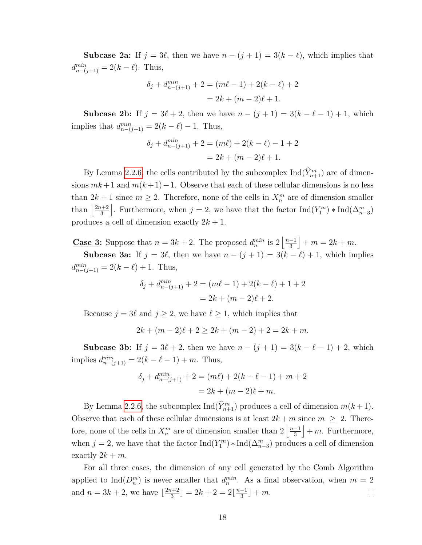**Subcase 2a:** If  $j = 3\ell$ , then we have  $n - (j + 1) = 3(k - \ell)$ , which implies that  $d_{n-(j+1)}^{min} = 2(k - \ell)$ . Thus,

$$
\delta_j + d_{n-(j+1)}^{min} + 2 = (m\ell - 1) + 2(k - \ell) + 2
$$
  
= 2k + (m - 2)\ell + 1.

**Subcase 2b:** If  $j = 3\ell + 2$ , then we have  $n - (j + 1) = 3(k - \ell - 1) + 1$ , which implies that  $d_{n-(j+1)}^{min} = 2(k - \ell) - 1$ . Thus,

$$
\delta_j + d_{n-(j+1)}^{min} + 2 = (m\ell) + 2(k - \ell) - 1 + 2
$$
  
= 2k + (m - 2)\ell + 1.

By Lemma [2.2.6,](#page-19-0) the cells contributed by the subcomplex  $\text{Ind}(\hat{Y}_{n+1}^m)$  are of dimensions *mk*+1 and *m*(*k*+1)−1. Observe that each of these cellular dimensions is no less than  $2k + 1$  since  $m \geq 2$ . Therefore, none of the cells in  $X_n^m$  are of dimension smaller than  $\frac{2n+2}{3}$ 3 . Furthermore, when  $j = 2$ , we have that the factor  $\text{Ind}(Y_1^m) * \text{Ind}(\Delta_{n-3}^m)$ produces a cell of dimension exactly 2*k* + 1.

**Case 3:** Suppose that  $n = 3k + 2$ . The proposed  $d_n^{min}$  is  $2\left\lfloor \frac{n-1}{3} \right\rfloor$ 3  $+ m = 2k + m.$ 

**Subcase 3a:** If  $j = 3\ell$ , then we have  $n - (j + 1) = 3(k - \ell) + 1$ , which implies  $d_{n-(j+1)}^{min} = 2(k - \ell) + 1$ . Thus,

$$
\delta_j + d_{n-(j+1)}^{min} + 2 = (m\ell - 1) + 2(k - \ell) + 1 + 2
$$
  
= 2k + (m - 2)\ell + 2.

Because  $j = 3\ell$  and  $j \ge 2$ , we have  $\ell \ge 1$ , which implies that

 $2k + (m-2)\ell + 2 > 2k + (m-2) + 2 = 2k + m.$ 

**Subcase 3b:** If  $j = 3\ell + 2$ , then we have  $n - (j + 1) = 3(k - \ell - 1) + 2$ , which  $\text{implies } d_{n-(j+1)}^{min} = 2(k - \ell - 1) + m. \text{ Thus,}$ 

$$
\delta_j + d_{n-(j+1)}^{min} + 2 = (m\ell) + 2(k - \ell - 1) + m + 2
$$
  
= 2k + (m - 2)\ell + m.

By Lemma [2.2.6,](#page-19-0) the subcomplex  $\text{Ind}(\hat{Y}_{n+1}^m)$  produces a cell of dimension  $m(k+1)$ . Observe that each of these cellular dimensions is at least  $2k + m$  since  $m \geq 2$ . Therefore, none of the cells in  $X_n^m$  are of dimension smaller than  $2\left\lfloor \frac{n-1}{3} \right\rfloor$ 3  $+ m$ . Furthermore, when  $j = 2$ , we have that the factor  $\text{Ind}(Y_1^m) * \text{Ind}(\Delta_{n-3}^m)$  produces a cell of dimension exactly  $2k + m$ .

For all three cases, the dimension of any cell generated by the Comb Algorithm applied to  $\text{Ind}(D_n^m)$  is never smaller that  $d_n^{min}$ . As a final observation, when  $m = 2$ and  $n = 3k + 2$ , we have  $\frac{2n+2}{3}$  $\left[\frac{n+2}{3}\right] = 2k + 2 = 2\left[\frac{n-1}{3}\right]$  $\frac{-1}{3}$  | + m.  $\Box$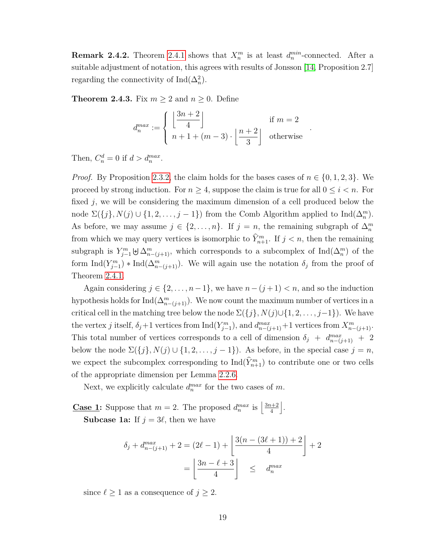**Remark 2.4.2.** Theorem [2.4.1](#page-26-1) shows that  $X_n^m$  is at least  $d_n^{min}$ -connected. After a suitable adjustment of notation, this agrees with results of Jonsson [\[14,](#page-52-11) Proposition 2.7] regarding the connectivity of  $\text{Ind}(\Delta_n^2)$ .

**Theorem 2.4.3.** Fix  $m \geq 2$  and  $n \geq 0$ . Define

$$
d_n^{max} := \begin{cases} \left\lfloor \frac{3n+2}{4} \right\rfloor & \text{if } m = 2\\ n+1 + (m-3) \cdot \left\lfloor \frac{n+2}{3} \right\rfloor & \text{otherwise} \end{cases}
$$

*.*

Then,  $C_n^d = 0$  if  $d > d_n^{max}$ .

*Proof.* By Proposition [2.3.2,](#page-21-3) the claim holds for the bases cases of  $n \in \{0, 1, 2, 3\}$ . We proceed by strong induction. For  $n \geq 4$ , suppose the claim is true for all  $0 \leq i \leq n$ . For fixed *j*, we will be considering the maximum dimension of a cell produced below the node  $\Sigma({j}, N(j) \cup {1, 2, ..., j - 1})$  from the Comb Algorithm applied to  $\text{Ind}(\Delta_n^m)$ . As before, we may assume  $j \in \{2, ..., n\}$ . If  $j = n$ , the remaining subgraph of  $\Delta_n^m$ from which we may query vertices is isomorphic to  $\hat{Y}_{n+1}^m$ . If  $j < n$ , then the remaining subgraph is  $Y_{j-1}^m \oplus \Delta_{n-(j+1)}^m$ , which corresponds to a subcomplex of  $\text{Ind}(\Delta_n^m)$  of the form  $\text{Ind}(Y_{j-1}^m) * \text{Ind}(\Delta_{n-(j+1)}^m)$ . We will again use the notation  $\delta_j$  from the proof of Theorem [2.4.1.](#page-26-1)

Again considering  $j \in \{2, \ldots, n-1\}$ , we have  $n-(j+1) < n$ , and so the induction hypothesis holds for  $\text{Ind}(\Delta_{n-(j+1)}^m)$ . We now count the maximum number of vertices in a critical cell in the matching tree below the node  $\Sigma({j}, N(j) \cup \{1, 2, \ldots, j-1\})$ . We have the vertex *j* itself,  $\delta_j$ +1 vertices from  $\text{Ind}(Y_{j-1}^m)$ , and  $d_{n-(j+1)}^{max}$ +1 vertices from  $X_{n-(j+1)}^m$ . This total number of vertices corresponds to a cell of dimension  $\delta_j + d_{n-(j+1)}^{max} + 2$ below the node  $\Sigma({j}, N(j) \cup {1, 2, \ldots, j-1})$ . As before, in the special case  $j = n$ , we expect the subcomplex corresponding to  $\text{Ind}(\hat{Y}_{n+1}^m)$  to contribute one or two cells of the appropriate dimension per Lemma [2.2.6.](#page-19-0)

Next, we explicitly calculate  $d_n^{max}$  for the two cases of  $m$ .

**Case 1:** Suppose that  $m = 2$ . The proposed  $d_n^{max}$  is  $\left| \frac{3n+2}{4} \right|$ 4 k .

**Subcase 1a:** If  $j = 3\ell$ , then we have

$$
\delta_j + d_{n-(j+1)}^{max} + 2 = (2\ell - 1) + \left[ \frac{3(n - (3\ell + 1)) + 2}{4} \right] + 2
$$

$$
= \left[ \frac{3n - \ell + 3}{4} \right] \leq d_n^{max}
$$

since  $\ell \geq 1$  as a consequence of  $j \geq 2$ .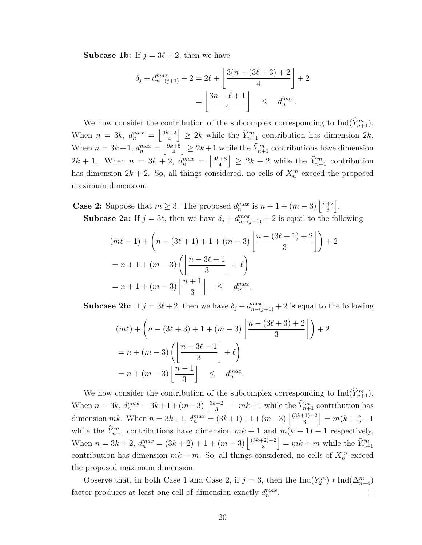**Subcase 1b:** If  $j = 3\ell + 2$ , then we have

$$
\delta_j + d_{n-(j+1)}^{max} + 2 = 2\ell + \left[ \frac{3(n - (3\ell + 3) + 2)}{4} \right] + 2
$$
  
= 
$$
\left[ \frac{3n - \ell + 1}{4} \right] \leq d_n^{max}.
$$

We now consider the contribution of the subcomplex corresponding to  $\text{Ind}(\widehat{Y}_{n+1}^m)$ . When  $n = 3k$ ,  $d_n^{max} = \left| \frac{9k+2}{4} \right|$ 4  $\leq 2k$  while the  $\hat{Y}_{n+1}^m$  contribution has dimension 2*k*. When  $n = 3k+1$ ,  $d_n^{max} = \left| \frac{9k+5}{4} \right|$ 4  $\leq 2k+1$  while the  $\widehat{Y}_{n+1}^m$  contributions have dimension  $2k + 1$ . When  $n = 3k + 2$ ,  $d_n^{max} = \left| \frac{9k+8}{4} \right|$ 4  $\geq 2k + 2$  while the  $\hat{Y}_{n+1}^m$  contribution has dimension  $2k + 2$ . So, all things considered, no cells of  $X_n^m$  exceed the proposed maximum dimension.

**Case 2:** Suppose that  $m \geq 3$ . The proposed  $d_n^{max}$  is  $n + 1 + (m - 3) \left| \frac{n+2}{3} \right|$ 3 k . **Subcase 2a:** If  $j = 3\ell$ , then we have  $\delta_j + d_{n-(j+1)}^{max} + 2$  is equal to the following

$$
(m\ell - 1) + \left(n - (3\ell + 1) + 1 + (m - 3)\left\lfloor \frac{n - (3\ell + 1) + 2}{3} \right\rfloor\right) + 2
$$
  
=  $n + 1 + (m - 3)\left(\left\lfloor \frac{n - 3\ell + 1}{3} \right\rfloor + \ell\right)$   
=  $n + 1 + (m - 3)\left\lfloor \frac{n + 1}{3} \right\rfloor \leq d_n^{max}$ .

**Subcase 2b:** If  $j = 3\ell + 2$ , then we have  $\delta_j + d_{n-(j+1)}^{max} + 2$  is equal to the following

$$
(m\ell) + \left(n - (3\ell + 3) + 1 + (m - 3)\left\lfloor \frac{n - (3\ell + 3) + 2}{3} \right\rfloor\right) + 2
$$

$$
= n + (m - 3)\left(\left\lfloor \frac{n - 3\ell - 1}{3} \right\rfloor + \ell\right)
$$

$$
= n + (m - 3)\left\lfloor \frac{n - 1}{3} \right\rfloor \leq d_n^{max}.
$$

We now consider the contribution of the subcomplex corresponding to  $\text{Ind}(\hat{Y}_{n+1}^m)$ . When  $n = 3k$ ,  $d_n^{max} = 3k + 1 + (m-3) \left| \frac{3k+2}{3} \right|$ 3  $k = mk+1$  while the  $\hat{Y}_{n+1}^m$  contribution has dimension  $mk$ . When  $n = 3k+1$ ,  $d_n^{max} = (3k+1)+1+(m-3)\left(\frac{(3k+1)+2}{3}\right)$ 3  $= m(k+1)-1$ while the  $\hat{Y}_{n+1}^m$  contributions have dimension  $mk + 1$  and  $m(k + 1) - 1$  respectively. When  $n = 3k + 2$ ,  $d_n^{max} = (3k + 2) + 1 + (m - 3) \left( \frac{(3k+2)+2}{3} \right)$ 3  $= mk + m$  while the  $\widehat{Y}_{n+1}^m$ contribution has dimension  $mk + m$ . So, all things considered, no cells of  $X_n^m$  exceed the proposed maximum dimension.

Observe that, in both Case 1 and Case 2, if  $j = 3$ , then the  $\text{Ind}(Y_2^m) * \text{Ind}(\Delta_{n-4}^m)$ factor produces at least one cell of dimension exactly  $d_n^{max}$ .  $\Box$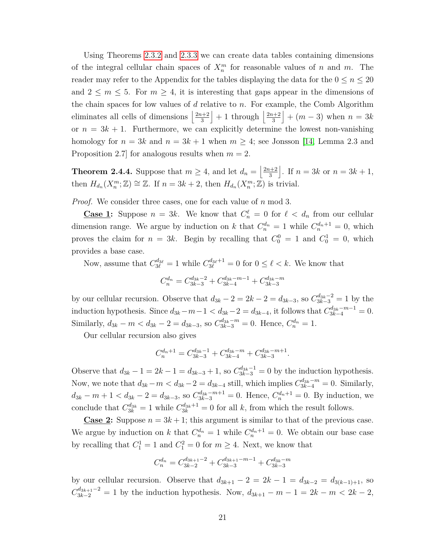Using Theorems [2.3.2](#page-21-3) and [2.3.3](#page-22-1) we can create data tables containing dimensions of the integral cellular chain spaces of  $X_n^m$  for reasonable values of *n* and *m*. The reader may refer to the Appendix for the tables displaying the data for the  $0 \leq n \leq 20$ and  $2 \leq m \leq 5$ . For  $m \geq 4$ , it is interesting that gaps appear in the dimensions of the chain spaces for low values of *d* relative to *n*. For example, the Comb Algorithm eliminates all cells of dimensions  $\frac{2n+2}{3}$ 3  $+1$  through  $\frac{2n+2}{3}$ 3  $+(m-3)$  when  $n=3k$ or  $n = 3k + 1$ . Furthermore, we can explicitly determine the lowest non-vanishing homology for  $n = 3k$  and  $n = 3k + 1$  when  $m \geq 4$ ; see Jonsson [\[14,](#page-52-11) Lemma 2.3 and Proposition 2.7] for analogous results when *m* = 2.

**Theorem 2.4.4.** Suppose that  $m \geq 4$ , and let  $d_n = \left\lfloor \frac{2n+2}{3} \right\rfloor$ 3 . If  $n = 3k$  or  $n = 3k + 1$ , then  $H_{d_n}(X_n^m; \mathbb{Z}) \cong \mathbb{Z}$ . If  $n = 3k + 2$ , then  $H_{d_n}(X_n^m; \mathbb{Z})$  is trivial.

*Proof.* We consider three cases, one for each value of *n* mod 3.

**Case 1:** Suppose  $n = 3k$ . We know that  $C_n^{\ell} = 0$  for  $\ell < d_n$  from our cellular dimension range. We argue by induction on *k* that  $C_n^{d_n} = 1$  while  $C_n^{d_n+1} = 0$ , which proves the claim for  $n = 3k$ . Begin by recalling that  $C_0^0 = 1$  and  $C_0^1 = 0$ , which provides a base case.

Now, assume that  $C_{3\ell}^{d_{3\ell}} = 1$  while  $C_{3\ell}^{d_{3\ell}+1} = 0$  for  $0 \leq \ell < k$ . We know that

$$
C_n^{d_n} = C_{3k-3}^{d_{3k}-2} + C_{3k-4}^{d_{3k}-m-1} + C_{3k-3}^{d_{3k}-m}
$$

by our cellular recursion. Observe that  $d_{3k} - 2 = 2k - 2 = d_{3k-3}$ , so  $C_{3k-3}^{d_{3k}-2} = 1$  by the induction hypothesis. Since  $d_{3k}-m-1 < d_{3k}-2 = d_{3k-4}$ , it follows that  $C_{3k-4}^{d_{3k}-m-1} = 0$ . Similarly,  $d_{3k} - m < d_{3k} - 2 = d_{3k-3}$ , so  $C_{3k-3}^{d_{3k}-m} = 0$ . Hence,  $C_n^{d_n} = 1$ .

Our cellular recursion also gives

$$
C_n^{d_n+1} = C_{3k-3}^{d_{3k}-1} + C_{3k-4}^{d_{3k}-m} + C_{3k-3}^{d_{3k}-m+1}.
$$

Observe that  $d_{3k} - 1 = 2k - 1 = d_{3k-3} + 1$ , so  $C_{3k-3}^{d_{3k}-1} = 0$  by the induction hypothesis. Now, we note that  $d_{3k} - m < d_{3k} - 2 = d_{3k-4}$  still, which implies  $C_{3k-4}^{d_{3k}-m} = 0$ . Similarly,  $d_{3k} - m + 1 < d_{3k} - 2 = d_{3k-3}$ , so  $C_{3k-3}^{d_{3k}-m+1} = 0$ . Hence,  $C_n^{d_n+1} = 0$ . By induction, we conclude that  $C_{3k}^{d_{3k}} = 1$  while  $C_{3k}^{d_{3k}+1} = 0$  for all *k*, from which the result follows.

**Case 2:** Suppose  $n = 3k + 1$ ; this argument is similar to that of the previous case. We argue by induction on *k* that  $C_n^{d_n} = 1$  while  $C_n^{d_n+1} = 0$ . We obtain our base case by recalling that  $C_1^1 = 1$  and  $C_1^2 = 0$  for  $m \ge 4$ . Next, we know that

$$
C_n^{d_n} = C_{3k-2}^{d_{3k+1}-2} + C_{3k-3}^{d_{3k+1}-m-1} + C_{3k-3}^{d_{3k}-m}
$$

by our cellular recursion. Observe that  $d_{3k+1} - 2 = 2k - 1 = d_{3k-2} = d_{3(k-1)+1}$ , so  $C_{3k-2}^{d_{3k+1}-2} = 1$  by the induction hypothesis. Now,  $d_{3k+1} - m - 1 = 2k - m < 2k - 2$ ,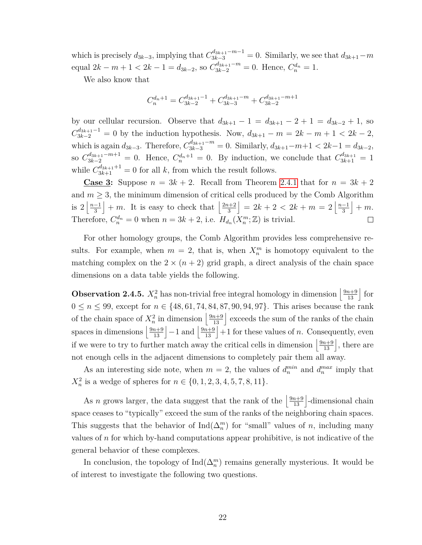which is precisely  $d_{3k-3}$ , implying that  $C_{3k-3}^{d_{3k+1}-m-1} = 0$ . Similarly, we see that  $d_{3k+1}-m$ equal  $2k - m + 1 < 2k - 1 = d_{3k-2}$ , so  $C_{3k-2}^{d_{3k+1}-m} = 0$ . Hence,  $C_n^{d_n} = 1$ .

We also know that

$$
C_n^{d_n+1}=C_{3k-2}^{d_{3k+1}-1}+C_{3k-3}^{d_{3k+1}-m}+C_{3k-2}^{d_{3k+1}-m+1}\\
$$

by our cellular recursion. Observe that  $d_{3k+1} - 1 = d_{3k+1} - 2 + 1 = d_{3k-2} + 1$ , so  $C_{3k-2}^{d_{3k+1}-1} = 0$  by the induction hypothesis. Now,  $d_{3k+1} - m = 2k - m + 1 < 2k - 2$ , which is again  $d_{3k-3}$ . Therefore,  $C_{3k-3}^{d_{3k+1}-m} = 0$ . Similarly,  $d_{3k+1}-m+1 < 2k-1 = d_{3k-2}$ ,  $C_{3k-2}^{d_{3k+1}-m+1} = 0$ . Hence,  $C_n^{d_n+1} = 0$ . By induction, we conclude that  $C_{3k+1}^{d_{3k+1}} = 1$ while  $C_{3k+1}^{d_{3k+1}+1} = 0$  for all *k*, from which the result follows.

**Case 3:** Suppose  $n = 3k + 2$ . Recall from Theorem [2.4.1](#page-26-1) that for  $n = 3k + 2$ and  $m \geq 3$ , the minimum dimension of critical cells produced by the Comb Algorithm is  $2\left\lfloor\frac{n-1}{3}\right\rfloor$  $\left| + \infty \right|$  It is easy to check that  $\left| \frac{2n+2}{3} \right|$  $\left| \begin{array}{c} = 2k + 2 < 2k + m = 2 \frac{n-1}{3} \end{array} \right|$  $+ m$ . 3 3 3 Therefore,  $C_n^{d_n} = 0$  when  $n = 3k + 2$ , i.e.  $H_{d_n}(X_n^m; \mathbb{Z})$  is trivial.  $\Box$ 

For other homology groups, the Comb Algorithm provides less comprehensive results. For example, when  $m = 2$ , that is, when  $X_n^m$  is homotopy equivalent to the matching complex on the  $2 \times (n+2)$  grid graph, a direct analysis of the chain space dimensions on a data table yields the following.

**Observation 2.4.5.**  $X_n^2$  has non-trivial free integral homology in dimension  $\left\lfloor \frac{9n+9}{13} \right\rfloor$  for 0 ≤ *n* ≤ 99, except for  $n \in \{48, 61, 74, 84, 87, 90, 94, 97\}$ . This arises because the rank of the chain space of  $X_n^2$  in dimension  $\left\lfloor \frac{9n+9}{13} \right\rfloor$  exceeds the sum of the ranks of the chain spaces in dimensions  $\left\lfloor \frac{9n+9}{13} \right\rfloor - 1$  and  $\left\lfloor \frac{9n+9}{13} \right\rfloor + 1$  for these values of *n*. Consequently, even if we were to try to further match away the critical cells in dimension  $\left\lfloor \frac{9n+9}{13} \right\rfloor$ , there are not enough cells in the adjacent dimensions to completely pair them all away.

As an interesting side note, when  $m = 2$ , the values of  $d_n^{min}$  and  $d_n^{max}$  imply that  $X_n^2$  is a wedge of spheres for  $n \in \{0, 1, 2, 3, 4, 5, 7, 8, 11\}.$ 

As *n* grows larger, the data suggest that the rank of the  $\left\lfloor \frac{9n+9}{13} \right\rfloor$ -dimensional chain space ceases to "typically" exceed the sum of the ranks of the neighboring chain spaces. This suggests that the behavior of  $\text{Ind}(\Delta_n^m)$  for "small" values of *n*, including many values of *n* for which by-hand computations appear prohibitive, is not indicative of the general behavior of these complexes.

In conclusion, the topology of  $\text{Ind}(\Delta_n^m)$  remains generally mysterious. It would be of interest to investigate the following two questions.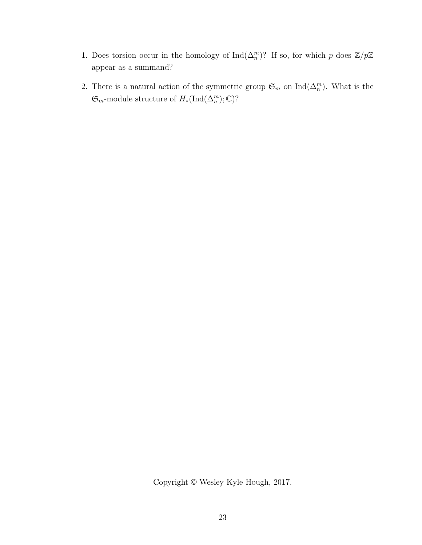- 1. Does torsion occur in the homology of  $\text{Ind}(\Delta_n^m)$ ? If so, for which *p* does  $\mathbb{Z}/p\mathbb{Z}$ appear as a summand?
- 2. There is a natural action of the symmetric group  $\mathfrak{S}_m$  on  $\text{Ind}(\Delta_n^m)$ . What is the  $\mathfrak{S}_{m}$ -module structure of  $H_*(\text{Ind}(\Delta_n^m);\mathbb{C})$ ?

Copyright © Wesley Kyle Hough, 2017.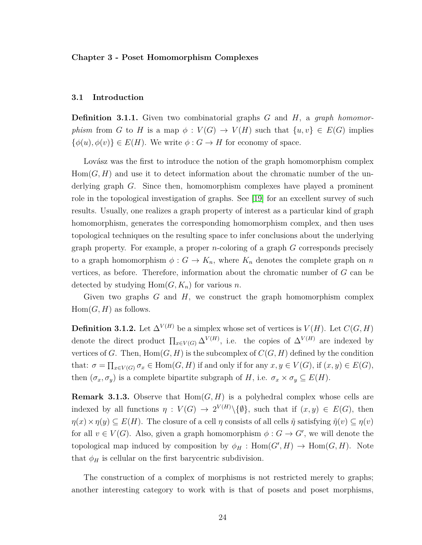#### <span id="page-34-0"></span>**Chapter 3 - Poset Homomorphism Complexes**

#### <span id="page-34-1"></span>**3.1 Introduction**

**Definition 3.1.1.** Given two combinatorial graphs *G* and *H*, a *graph homomorphism* from *G* to *H* is a map  $\phi: V(G) \to V(H)$  such that  $\{u, v\} \in E(G)$  implies  $\{\phi(u), \phi(v)\}\in E(H)$ . We write  $\phi: G \to H$  for economy of space.

Lovász was the first to introduce the notion of the graph homomorphism complex  $Hom(G, H)$  and use it to detect information about the chromatic number of the underlying graph *G*. Since then, homomorphism complexes have played a prominent role in the topological investigation of graphs. See [\[19\]](#page-53-5) for an excellent survey of such results. Usually, one realizes a graph property of interest as a particular kind of graph homomorphism, generates the corresponding homomorphism complex, and then uses topological techniques on the resulting space to infer conclusions about the underlying graph property. For example, a proper *n*-coloring of a graph *G* corresponds precisely to a graph homomorphism  $\phi: G \to K_n$ , where  $K_n$  denotes the complete graph on *n* vertices, as before. Therefore, information about the chromatic number of *G* can be detected by studying  $Hom(G, K_n)$  for various *n*.

Given two graphs *G* and *H*, we construct the graph homomorphism complex  $Hom(G, H)$  as follows.

**Definition 3.1.2.** Let  $\Delta^{V(H)}$  be a simplex whose set of vertices is  $V(H)$ . Let  $C(G, H)$ denote the direct product  $\prod_{x \in V(G)} \Delta^{V(H)}$ , i.e. the copies of  $\Delta^{V(H)}$  are indexed by vertices of *G*. Then,  $Hom(G, H)$  is the subcomplex of  $C(G, H)$  defined by the condition that:  $\sigma = \prod_{x \in V(G)} \sigma_x \in \text{Hom}(G, H)$  if and only if for any  $x, y \in V(G)$ , if  $(x, y) \in E(G)$ , then  $(\sigma_x, \sigma_y)$  is a complete bipartite subgraph of *H*, i.e.  $\sigma_x \times \sigma_y \subseteq E(H)$ .

**Remark 3.1.3.** Observe that  $Hom(G, H)$  is a polyhedral complex whose cells are indexed by all functions  $\eta: V(G) \to 2^{V(H)}\setminus \{\emptyset\}$ , such that if  $(x, y) \in E(G)$ , then  $\eta(x) \times \eta(y) \subseteq E(H)$ . The closure of a cell  $\eta$  consists of all cells  $\tilde{\eta}$  satisfying  $\tilde{\eta}(v) \subseteq \eta(v)$ for all  $v \in V(G)$ . Also, given a graph homomorphism  $\phi : G \to G'$ , we will denote the topological map induced by composition by  $\phi_H$ :  $Hom(G', H) \to Hom(G, H)$ . Note that  $\phi_H$  is cellular on the first barycentric subdivision.

The construction of a complex of morphisms is not restricted merely to graphs; another interesting category to work with is that of posets and poset morphisms,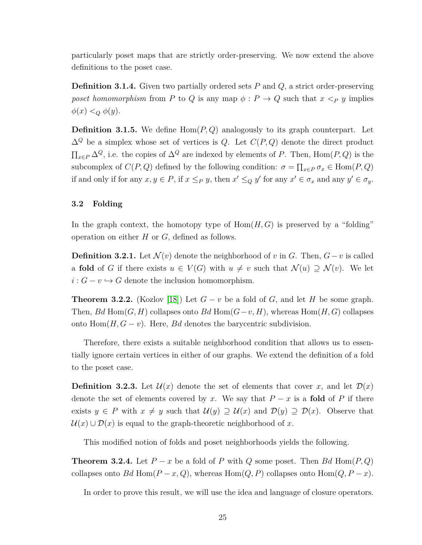particularly poset maps that are strictly order-preserving. We now extend the above definitions to the poset case.

**Definition 3.1.4.** Given two partially ordered sets *P* and *Q*, a strict order-preserving *poset homomorphism* from *P* to *Q* is any map  $\phi$  :  $P \rightarrow Q$  such that  $x \leq_P y$  implies  $\phi(x) <_{Q} \phi(y)$ .

**Definition 3.1.5.** We define Hom(*P, Q*) analogously to its graph counterpart. Let ∆*<sup>Q</sup>* be a simplex whose set of vertices is *Q*. Let *C*(*P, Q*) denote the direct product  $\prod_{x \in P} \Delta^Q$ , i.e. the copies of  $\Delta^Q$  are indexed by elements of *P*. Then, Hom(*P*, *Q*) is the subcomplex of  $C(P,Q)$  defined by the following condition:  $\sigma = \prod_{x \in P} \sigma_x \in \text{Hom}(P,Q)$ if and only if for any  $x, y \in P$ , if  $x \leq_P y$ , then  $x' \leq_Q y'$  for any  $x' \in \sigma_x$  and any  $y' \in \sigma_y$ .

#### <span id="page-35-0"></span>**3.2 Folding**

In the graph context, the homotopy type of  $Hom(H, G)$  is preserved by a "folding" operation on either *H* or *G*, defined as follows.

**Definition 3.2.1.** Let  $\mathcal{N}(v)$  denote the neighborhood of *v* in *G*. Then,  $G - v$  is called a **fold** of *G* if there exists  $u \in V(G)$  with  $u \neq v$  such that  $\mathcal{N}(u) \supseteq \mathcal{N}(v)$ . We let  $i: G - v \hookrightarrow G$  denote the inclusion homomorphism.

**Theorem 3.2.2.** (Kozlov [\[18\]](#page-53-6)) Let  $G - v$  be a fold of  $G$ , and let  $H$  be some graph. Then, *Bd* Hom $(G, H)$  collapses onto *Bd* Hom $(G - v, H)$ , whereas Hom $(H, G)$  collapses onto  $Hom(H, G - v)$ . Here, *Bd* denotes the barycentric subdivision.

Therefore, there exists a suitable neighborhood condition that allows us to essentially ignore certain vertices in either of our graphs. We extend the definition of a fold to the poset case.

**Definition 3.2.3.** Let  $\mathcal{U}(x)$  denote the set of elements that cover x, and let  $\mathcal{D}(x)$ denote the set of elements covered by *x*. We say that  $P - x$  is a **fold** of  $P$  if there exists  $y \in P$  with  $x \neq y$  such that  $\mathcal{U}(y) \supseteq \mathcal{U}(x)$  and  $\mathcal{D}(y) \supseteq \mathcal{D}(x)$ . Observe that  $\mathcal{U}(x) \cup \mathcal{D}(x)$  is equal to the graph-theoretic neighborhood of x.

This modified notion of folds and poset neighborhoods yields the following.

<span id="page-35-1"></span>**Theorem 3.2.4.** Let  $P - x$  be a fold of P with Q some poset. Then Bd Hom( $P, Q$ ) collapses onto *Bd* Hom( $P - x$ ,  $Q$ ), whereas Hom( $Q$ ,  $P$ ) collapses onto Hom( $Q$ ,  $P - x$ ).

In order to prove this result, we will use the idea and language of closure operators.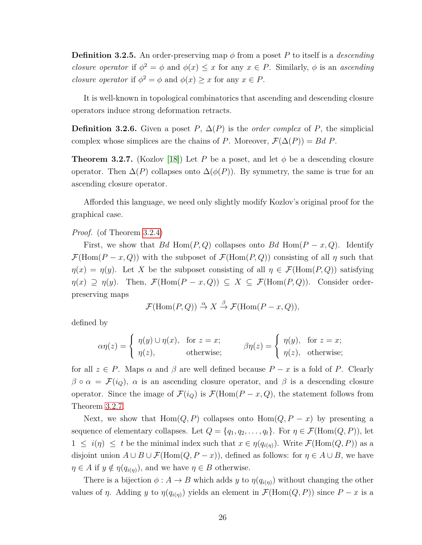**Definition 3.2.5.** An order-preserving map *φ* from a poset *P* to itself is a *descending closure operator* if  $\phi^2 = \phi$  and  $\phi(x) \leq x$  for any  $x \in P$ . Similarly,  $\phi$  is an *ascending closure operator* if  $\phi^2 = \phi$  and  $\phi(x) \geq x$  for any  $x \in P$ .

It is well-known in topological combinatorics that ascending and descending closure operators induce strong deformation retracts.

**Definition 3.2.6.** Given a poset *P*,  $\Delta(P)$  is the *order complex* of *P*, the simplicial complex whose simplices are the chains of *P*. Moreover,  $\mathcal{F}(\Delta(P)) = Bd$  *P*.

<span id="page-36-0"></span>**Theorem 3.2.7.** (Kozlov [\[18\]](#page-53-6)) Let P be a poset, and let  $\phi$  be a descending closure operator. Then  $\Delta(P)$  collapses onto  $\Delta(\phi(P))$ . By symmetry, the same is true for an ascending closure operator.

Afforded this language, we need only slightly modify Kozlov's original proof for the graphical case.

#### *Proof.* (of Theorem [3.2.4\)](#page-35-1)

First, we show that *Bd* Hom $(P, Q)$  collapses onto *Bd* Hom $(P - x, Q)$ . Identify  $\mathcal{F}(\text{Hom}(P-x,Q))$  with the subposet of  $\mathcal{F}(\text{Hom}(P,Q))$  consisting of all  $\eta$  such that  $\eta(x) = \eta(y)$ . Let *X* be the subposet consisting of all  $\eta \in \mathcal{F}(\text{Hom}(P,Q))$  satisfying  $\eta(x) \supseteq \eta(y)$ . Then,  $\mathcal{F}(\text{Hom}(P-x,Q)) \subseteq X \subseteq \mathcal{F}(\text{Hom}(P,Q))$ . Consider orderpreserving maps

$$
\mathcal{F}(\text{Hom}(P,Q)) \stackrel{\alpha}{\to} X \stackrel{\beta}{\to} \mathcal{F}(\text{Hom}(P-x,Q)),
$$

defined by

$$
\alpha \eta(z) = \begin{cases} \eta(y) \cup \eta(x), & \text{for } z = x; \\ \eta(z), & \text{otherwise}; \end{cases} \qquad \beta \eta(z) = \begin{cases} \eta(y), & \text{for } z = x; \\ \eta(z), & \text{otherwise}; \end{cases}
$$

for all  $z \in P$ . Maps  $\alpha$  and  $\beta$  are well defined because  $P - x$  is a fold of P. Clearly  $\beta \circ \alpha = \mathcal{F}(i_Q)$ ,  $\alpha$  is an ascending closure operator, and  $\beta$  is a descending closure operator. Since the image of  $\mathcal{F}(i_Q)$  is  $\mathcal{F}(\text{Hom}(P-x,Q))$ , the statement follows from Theorem [3.2.7.](#page-36-0)

Next, we show that  $Hom(Q, P)$  collapses onto  $Hom(Q, P - x)$  by presenting a sequence of elementary collapses. Let  $Q = \{q_1, q_2, \ldots, q_t\}$ . For  $\eta \in \mathcal{F}(\text{Hom}(Q, P))$ , let  $1 \leq i(\eta) \leq t$  be the minimal index such that  $x \in \eta(q_{i(\eta)})$ . Write  $\mathcal{F}(\text{Hom}(Q, P))$  as a disjoint union  $A \cup B \cup \mathcal{F}(\text{Hom}(Q, P - x))$ , defined as follows: for  $\eta \in A \cup B$ , we have  $\eta \in A$  if  $y \notin \eta(q_{i(\eta)})$ , and we have  $\eta \in B$  otherwise.

There is a bijection  $\phi: A \to B$  which adds *y* to  $\eta(q_{i(\eta)})$  without changing the other values of *η*. Adding *y* to  $\eta(q_{i(\eta)})$  yields an element in  $\mathcal{F}(\text{Hom}(Q, P))$  since  $P - x$  is a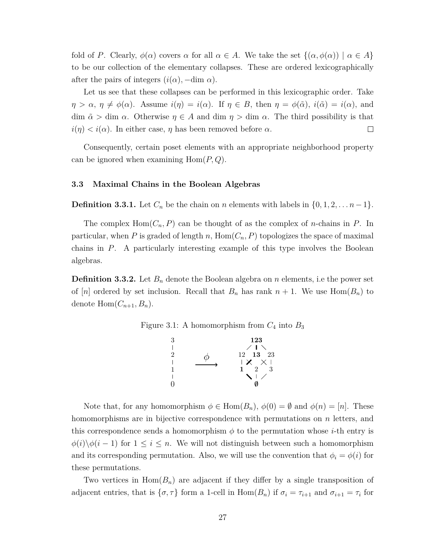fold of *P*. Clearly,  $\phi(\alpha)$  covers  $\alpha$  for all  $\alpha \in A$ . We take the set  $\{(\alpha, \phi(\alpha)) \mid \alpha \in A\}$ to be our collection of the elementary collapses. These are ordered lexicographically after the pairs of integers  $(i(\alpha), -\dim \alpha)$ .

Let us see that these collapses can be performed in this lexicographic order. Take  $\eta > \alpha$ ,  $\eta \neq \phi(\alpha)$ . Assume  $i(\eta) = i(\alpha)$ . If  $\eta \in B$ , then  $\eta = \phi(\tilde{\alpha})$ ,  $i(\tilde{\alpha}) = i(\alpha)$ , and dim  $\tilde{\alpha} > \dim \alpha$ . Otherwise  $\eta \in A$  and dim  $\eta > \dim \alpha$ . The third possibility is that  $i(\eta) < i(\alpha)$ . In either case,  $\eta$  has been removed before  $\alpha$ .  $\Box$ 

Consequently, certain poset elements with an appropriate neighborhood property can be ignored when examining Hom(*P, Q*).

#### <span id="page-37-0"></span>**3.3 Maximal Chains in the Boolean Algebras**

**Definition 3.3.1.** Let  $C_n$  be the chain on *n* elements with labels in  $\{0, 1, 2, \ldots n-1\}$ .

The complex  $Hom(C_n, P)$  can be thought of as the complex of *n*-chains in *P*. In particular, when P is graded of length  $n$ ,  $Hom(C_n, P)$  topologizes the space of maximal chains in *P*. A particularly interesting example of this type involves the Boolean algebras.

**Definition 3.3.2.** Let *B<sup>n</sup>* denote the Boolean algebra on *n* elements, i.e the power set of [*n*] ordered by set inclusion. Recall that  $B_n$  has rank  $n + 1$ . We use Hom $(B_n)$  to denote  $Hom(C_{n+1}, B_n)$ .

Figure 3.1: A homomorphism from  $C_4$  into  $B_3$ 

<span id="page-37-1"></span>

Note that, for any homomorphism  $\phi \in \text{Hom}(B_n)$ ,  $\phi(0) = \emptyset$  and  $\phi(n) = [n]$ . These homomorphisms are in bijective correspondence with permutations on *n* letters, and this correspondence sends a homomorphism  $\phi$  to the permutation whose *i*-th entry is  $\phi(i)\backslash \phi(i-1)$  for  $1 \leq i \leq n$ . We will not distinguish between such a homomorphism and its corresponding permutation. Also, we will use the convention that  $\phi_i = \phi(i)$  for these permutations.

Two vertices in  $Hom(B_n)$  are adjacent if they differ by a single transposition of adjacent entries, that is  $\{\sigma, \tau\}$  form a 1-cell in  $Hom(B_n)$  if  $\sigma_i = \tau_{i+1}$  and  $\sigma_{i+1} = \tau_i$  for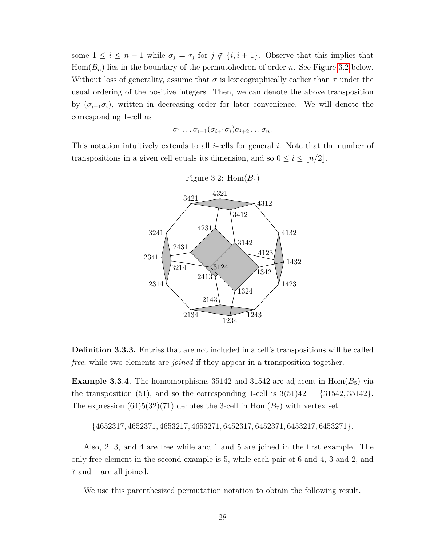some  $1 \leq i \leq n-1$  while  $\sigma_j = \tau_j$  for  $j \notin \{i, i+1\}$ . Observe that this implies that  $Hom(B_n)$  lies in the boundary of the permutohedron of order *n*. See Figure [3.2](#page-38-0) below. Without loss of generality, assume that *σ* is lexicographically earlier than *τ* under the usual ordering of the positive integers. Then, we can denote the above transposition by  $(\sigma_{i+1}\sigma_i)$ , written in decreasing order for later convenience. We will denote the corresponding 1-cell as

<span id="page-38-0"></span>
$$
\sigma_1 \ldots \sigma_{i-1}(\sigma_{i+1}\sigma_i)\sigma_{i+2}\ldots \sigma_n.
$$

This notation intuitively extends to all *i*-cells for general *i*. Note that the number of transpositions in a given cell equals its dimension, and so  $0 \le i \le |n/2|$ .



**Definition 3.3.3.** Entries that are not included in a cell's transpositions will be called *free*, while two elements are *joined* if they appear in a transposition together.

<span id="page-38-1"></span>**Example 3.3.4.** The homomorphisms 35142 and 31542 are adjacent in  $\text{Hom}(B_5)$  via the transposition (51), and so the corresponding 1-cell is  $3(51)42 = \{31542, 35142\}$ . The expression  $(64)5(32)(71)$  denotes the 3-cell in  $Hom(B_7)$  with vertex set

{4652317*,* 4652371*,* 4653217*,* 4653271*,* 6452317*,* 6452371*,* 6453217*,* 6453271}*.*

Also, 2, 3, and 4 are free while and 1 and 5 are joined in the first example. The only free element in the second example is 5, while each pair of 6 and 4, 3 and 2, and 7 and 1 are all joined.

We use this parenthesized permutation notation to obtain the following result.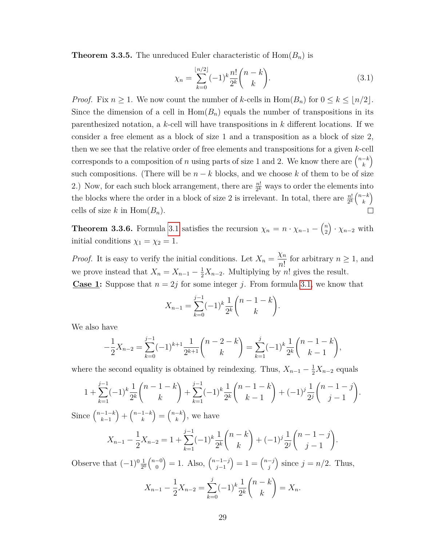**Theorem 3.3.5.** The unreduced Euler characteristic of  $\text{Hom}(B_n)$  is

<span id="page-39-0"></span>
$$
\chi_n = \sum_{k=0}^{\lfloor n/2 \rfloor} (-1)^k \frac{n!}{2^k} {n-k \choose k}.
$$
 (3.1)

*Proof.* Fix  $n \geq 1$ . We now count the number of *k*-cells in  $\text{Hom}(B_n)$  for  $0 \leq k \leq \lfloor n/2 \rfloor$ . Since the dimension of a cell in  $Hom(B_n)$  equals the number of transpositions in its parenthesized notation, a *k*-cell will have transpositions in *k* different locations. If we consider a free element as a block of size 1 and a transposition as a block of size 2, then we see that the relative order of free elements and transpositions for a given *k*-cell corresponds to a composition of *n* using parts of size 1 and 2. We know there are  $\binom{n-k}{k}$ *k*  $\setminus$ such compositions. (There will be  $n - k$  blocks, and we choose  $k$  of them to be of size 2.) Now, for each such block arrangement, there are  $\frac{n!}{2^k}$  ways to order the elements into the blocks where the order in a block of size 2 is irrelevant. In total, there are  $\frac{n!}{2^k} {n-k \choose k}$ *k*  $\setminus$ cells of size *k* in  $Hom(B_n)$ .

**Theorem 3.3.6.** Formula [3.1](#page-39-0) satisfies the recursion  $\chi_n = n \cdot \chi_{n-1} - \binom{n}{2}$ 2  $\cdot \chi_{n-2}$  with initial conditions  $\chi_1 = \chi_2 = 1$ .

*Proof.* It is easy to verify the initial conditions. Let  $X_n =$ *χn n*! for arbitrary  $n \geq 1$ , and we prove instead that  $X_n = X_{n-1} - \frac{1}{2}X_{n-2}$ . Multiplying by *n*! gives the result. **Case 1:** Suppose that  $n = 2j$  for some integer *j*. From formula [3.1,](#page-39-0) we know that

$$
X_{n-1} = \sum_{k=0}^{j-1} (-1)^k \frac{1}{2^k} {n-1-k \choose k}.
$$

We also have

$$
-\frac{1}{2}X_{n-2} = \sum_{k=0}^{j-1} (-1)^{k+1} \frac{1}{2^{k+1}} \binom{n-2-k}{k} = \sum_{k=1}^{j} (-1)^k \frac{1}{2^k} \binom{n-1-k}{k-1},
$$

where the second equality is obtained by reindexing. Thus,  $X_{n-1} - \frac{1}{2}X_{n-2}$  equals

$$
1 + \sum_{k=1}^{j-1} (-1)^k \frac{1}{2^k} {n-1-k \choose k} + \sum_{k=1}^{j-1} (-1)^k \frac{1}{2^k} {n-1-k \choose k-1} + (-1)^j \frac{1}{2^j} {n-1-j \choose j-1}.
$$

Since  $\binom{n-1-k}{k-1}$ *k*−1  $+$  $\binom{n-1-k}{k}$ *k*  $= \begin{pmatrix} n-k \\ k \end{pmatrix}$ *k* , we have

$$
X_{n-1} - \frac{1}{2}X_{n-2} = 1 + \sum_{k=1}^{j-1} (-1)^k \frac{1}{2^k} {n-k \choose k} + (-1)^j \frac{1}{2^j} {n-1-j \choose j-1}.
$$

Observe that  $(-1)^0 \frac{1}{2^0} {n-0 \choose 0}$ 0  $= 1.$  Also,  $\binom{n-1-j}{j-1}$ *j*−1  $= 1 = \binom{n-j}{i}$ *j* ) since  $j = n/2$ . Thus,

$$
X_{n-1} - \frac{1}{2}X_{n-2} = \sum_{k=0}^{j} (-1)^k \frac{1}{2^k} {n-k \choose k} = X_n.
$$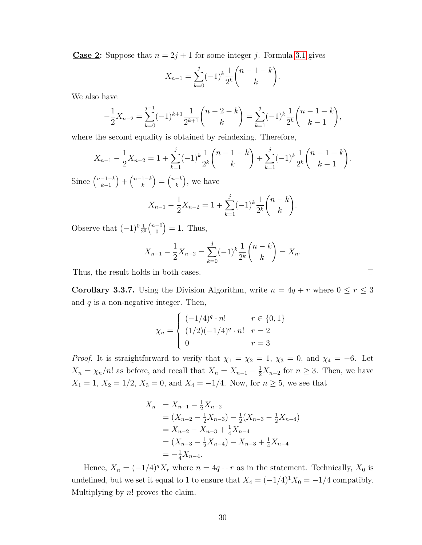**Case 2:** Suppose that  $n = 2j + 1$  for some integer *j*. Formula [3.1](#page-39-0) gives

$$
X_{n-1} = \sum_{k=0}^{j} (-1)^k \frac{1}{2^k} {n-1-k \choose k}.
$$

We also have

$$
-\frac{1}{2}X_{n-2} = \sum_{k=0}^{j-1} (-1)^{k+1} \frac{1}{2^{k+1}} \binom{n-2-k}{k} = \sum_{k=1}^{j} (-1)^k \frac{1}{2^k} \binom{n-1-k}{k-1},
$$

where the second equality is obtained by reindexing. Therefore,

$$
X_{n-1} - \frac{1}{2}X_{n-2} = 1 + \sum_{k=1}^{j} (-1)^k \frac{1}{2^k} {n-1-k \choose k} + \sum_{k=1}^{j} (-1)^k \frac{1}{2^k} {n-1-k \choose k-1}.
$$

Since  $\binom{n-1-k}{k-1}$ *k*−1  $+$  $\binom{n-1-k}{k}$ *k*  $= \begin{pmatrix} n-k \\ k \end{pmatrix}$ *k* , we have

$$
X_{n-1} - \frac{1}{2}X_{n-2} = 1 + \sum_{k=1}^{j} (-1)^k \frac{1}{2^k} {n-k \choose k}.
$$

Observe that  $(-1)^0 \frac{1}{2^0} {n-0 \choose 0}$ 0  $= 1.$  Thus,

$$
X_{n-1} - \frac{1}{2}X_{n-2} = \sum_{k=0}^{j} (-1)^k \frac{1}{2^k} {n-k \choose k} = X_n.
$$

Thus, the result holds in both cases.

**Corollary 3.3.7.** Using the Division Algorithm, write  $n = 4q + r$  where  $0 \le r \le 3$ and *q* is a non-negative integer. Then,

$$
\chi_n = \begin{cases}\n(-1/4)^q \cdot n! & r \in \{0, 1\} \\
(1/2)(-1/4)^q \cdot n! & r = 2 \\
0 & r = 3\n\end{cases}
$$

*Proof.* It is straightforward to verify that  $\chi_1 = \chi_2 = 1$ ,  $\chi_3 = 0$ , and  $\chi_4 = -6$ . Let  $X_n = \chi_n/n!$  as before, and recall that  $X_n = X_{n-1} - \frac{1}{2}X_{n-2}$  for  $n \geq 3$ . Then, we have  $X_1 = 1, X_2 = 1/2, X_3 = 0, \text{ and } X_4 = -1/4.$  Now, for  $n \geq 5$ , we see that

$$
X_n = X_{n-1} - \frac{1}{2}X_{n-2}
$$
  
=  $(X_{n-2} - \frac{1}{2}X_{n-3}) - \frac{1}{2}(X_{n-3} - \frac{1}{2}X_{n-4})$   
=  $X_{n-2} - X_{n-3} + \frac{1}{4}X_{n-4}$   
=  $(X_{n-3} - \frac{1}{2}X_{n-4}) - X_{n-3} + \frac{1}{4}X_{n-4}$   
=  $-\frac{1}{4}X_{n-4}$ .

Hence,  $X_n = (-1/4)^q X_r$  where  $n = 4q + r$  as in the statement. Technically,  $X_0$  is undefined, but we set it equal to 1 to ensure that  $X_4 = (-1/4)^1 X_0 = -1/4$  compatibly. Multiplying by *n*! proves the claim.  $\Box$ 

 $\Box$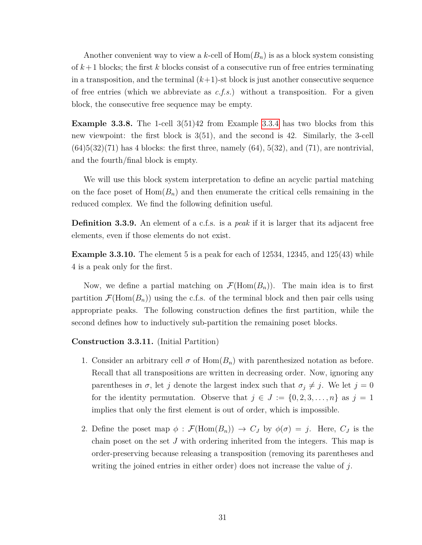Another convenient way to view a *k*-cell of Hom(*Bn*) is as a block system consisting of *k*+1 blocks; the first *k* blocks consist of a consecutive run of free entries terminating in a transposition, and the terminal  $(k+1)$ -st block is just another consecutive sequence of free entries (which we abbreviate as *c.f.s.*) without a transposition. For a given block, the consecutive free sequence may be empty.

**Example 3.3.8.** The 1-cell 3(51)42 from Example [3.3.4](#page-38-1) has two blocks from this new viewpoint: the first block is 3(51), and the second is 42. Similarly, the 3-cell  $(64)5(32)(71)$  has 4 blocks: the first three, namely  $(64)$ ,  $5(32)$ , and  $(71)$ , are nontrivial, and the fourth/final block is empty.

We will use this block system interpretation to define an acyclic partial matching on the face poset of  $Hom(B_n)$  and then enumerate the critical cells remaining in the reduced complex. We find the following definition useful.

**Definition 3.3.9.** An element of a c.f.s. is a *peak* if it is larger that its adjacent free elements, even if those elements do not exist.

**Example 3.3.10.** The element 5 is a peak for each of 12534, 12345, and 125(43) while 4 is a peak only for the first.

Now, we define a partial matching on  $\mathcal{F}(\text{Hom}(B_n))$ . The main idea is to first partition  $\mathcal{F}(\text{Hom}(B_n))$  using the c.f.s. of the terminal block and then pair cells using appropriate peaks. The following construction defines the first partition, while the second defines how to inductively sub-partition the remaining poset blocks.

#### <span id="page-41-0"></span>**Construction 3.3.11.** (Initial Partition)

- 1. Consider an arbitrary cell  $\sigma$  of  $Hom(B_n)$  with parenthesized notation as before. Recall that all transpositions are written in decreasing order. Now, ignoring any parentheses in  $\sigma$ , let *j* denote the largest index such that  $\sigma_j \neq j$ . We let  $j = 0$ for the identity permutation. Observe that  $j \in J := \{0, 2, 3, \ldots, n\}$  as  $j = 1$ implies that only the first element is out of order, which is impossible.
- 2. Define the poset map  $\phi : \mathcal{F}(\text{Hom}(B_n)) \to C_J$  by  $\phi(\sigma) = j$ . Here,  $C_J$  is the chain poset on the set *J* with ordering inherited from the integers. This map is order-preserving because releasing a transposition (removing its parentheses and writing the joined entries in either order) does not increase the value of *j*.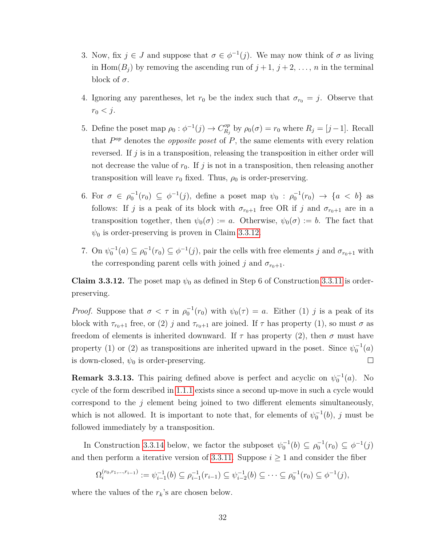- 3. Now, fix  $j \in J$  and suppose that  $\sigma \in \phi^{-1}(j)$ . We may now think of  $\sigma$  as living in Hom $(B_i)$  by removing the ascending run of  $j+1, j+2, \ldots, n$  in the terminal block of  $\sigma$ .
- 4. Ignoring any parentheses, let  $r_0$  be the index such that  $\sigma_{r_0} = j$ . Observe that  $r_0 < j$ .
- 5. Define the poset map  $\rho_0: \phi^{-1}(j) \to C_{R_i}^{op}$  $R_j^{\text{op}}$  by  $\rho_0(\sigma) = r_0$  where  $R_j = [j-1]$ . Recall that  $P^{op}$  denotes the *opposite poset* of P, the same elements with every relation reversed. If *j* is in a transposition, releasing the transposition in either order will not decrease the value of  $r_0$ . If  $j$  is not in a transposition, then releasing another transposition will leave  $r_0$  fixed. Thus,  $\rho_0$  is order-preserving.
- 6. For  $\sigma \in \rho_0^{-1}(r_0) \subseteq \phi^{-1}(j)$ , define a poset map  $\psi_0 : \rho_0^{-1}(r_0) \to \{a < b\}$  as follows: If *j* is a peak of its block with  $\sigma_{r_0+1}$  free OR if *j* and  $\sigma_{r_0+1}$  are in a transposition together, then  $\psi_0(\sigma) := a$ . Otherwise,  $\psi_0(\sigma) := b$ . The fact that  $\psi_0$  is order-preserving is proven in Claim [3.3.12.](#page-42-0)
- 7. On  $\psi_0^{-1}(a) \subseteq \rho_0^{-1}(r_0) \subseteq \phi^{-1}(j)$ , pair the cells with free elements *j* and  $\sigma_{r_0+1}$  with the corresponding parent cells with joined *j* and  $\sigma_{r_0+1}$ .

<span id="page-42-0"></span>**Claim 3.3.12.** The poset map  $\psi_0$  as defined in Step 6 of Construction [3.3.11](#page-41-0) is orderpreserving.

*Proof.* Suppose that  $\sigma < \tau$  in  $\rho_0^{-1}(r_0)$  with  $\psi_0(\tau) = a$ . Either (1) *j* is a peak of its block with  $\tau_{r_0+1}$  free, or (2) *j* and  $\tau_{r_0+1}$  are joined. If  $\tau$  has property (1), so must  $\sigma$  as freedom of elements is inherited downward. If  $\tau$  has property (2), then  $\sigma$  must have property (1) or (2) as transpositions are inherited upward in the poset. Since  $\psi_0^{-1}(a)$  $\Box$ is down-closed,  $\psi_0$  is order-preserving.

**Remark 3.3.13.** This pairing defined above is perfect and acyclic on  $\psi_0^{-1}(a)$ . No cycle of the form described in [1.1.1](#page-11-2) exists since a second up-move in such a cycle would correspond to the *j* element being joined to two different elements simultaneously, which is not allowed. It is important to note that, for elements of  $\psi_0^{-1}(b)$ , *j* must be followed immediately by a transposition.

In Construction [3.3.14](#page-43-0) below, we factor the subposet  $\psi_0^{-1}(b) \subseteq \rho_0^{-1}(r_0) \subseteq \phi^{-1}(j)$ and then perform a iterative version of [3.3.11.](#page-41-0) Suppose  $i \geq 1$  and consider the fiber

$$
\Omega_i^{(r_0,r_1,\ldots,r_{i-1})} := \psi_{i-1}^{-1}(b) \subseteq \rho_{i-1}^{-1}(r_{i-1}) \subseteq \psi_{i-2}^{-1}(b) \subseteq \cdots \subseteq \rho_0^{-1}(r_0) \subseteq \phi^{-1}(j),
$$

where the values of the  $r_k$ 's are chosen below.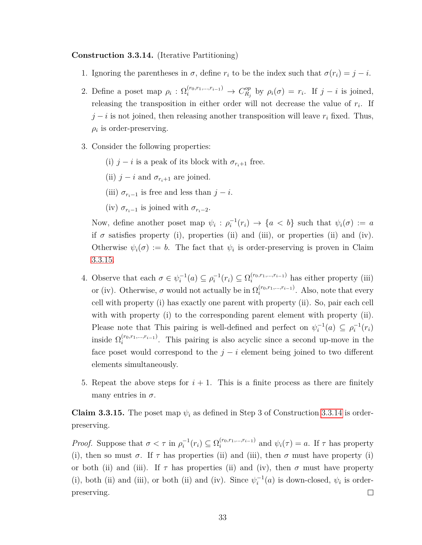#### <span id="page-43-0"></span>**Construction 3.3.14.** (Iterative Partitioning)

- 1. Ignoring the parentheses in  $\sigma$ , define  $r_i$  to be the index such that  $\sigma(r_i) = j i$ .
- 2. Define a poset map  $\rho_i$  :  $\Omega_i^{(r_0, r_1, \ldots, r_{i-1})} \rightarrow C_{R_i}^{op}$  $P_{R_j}^{op}$  by  $\rho_i(\sigma) = r_i$ . If  $j - i$  is joined, releasing the transposition in either order will not decrease the value of *r<sup>i</sup>* . If  $j - i$  is not joined, then releasing another transposition will leave  $r_i$  fixed. Thus,  $\rho_i$  is order-preserving.
- 3. Consider the following properties:
	- (i)  $j i$  is a peak of its block with  $\sigma_{r_i+1}$  free.
	- (ii)  $j i$  and  $\sigma_{r_i+1}$  are joined.
	- (iii)  $\sigma_{r_i-1}$  is free and less than  $j-i$ .
	- (iv)  $\sigma_{r_i-1}$  is joined with  $\sigma_{r_i-2}$ .

Now, define another poset map  $\psi_i : \rho_i^{-1}(r_i) \to \{a < b\}$  such that  $\psi_i(\sigma) := a$ if  $\sigma$  satisfies property (i), properties (ii) and (iii), or properties (ii) and (iv). Otherwise  $\psi_i(\sigma) := b$ . The fact that  $\psi_i$  is order-preserving is proven in Claim [3.3.15.](#page-43-1)

- 4. Observe that each  $\sigma \in \psi_i^{-1}(a) \subseteq \rho_i^{-1}(r_i) \subseteq \Omega_i^{(r_0, r_1, \ldots, r_{i-1})}$  has either property (iii) or (iv). Otherwise,  $\sigma$  would not actually be in  $\Omega_i^{(r_0,r_1,\ldots,r_{i-1})}$ . Also, note that every cell with property (i) has exactly one parent with property (ii). So, pair each cell with with property (i) to the corresponding parent element with property (ii). Please note that This pairing is well-defined and perfect on  $\psi_i^{-1}(a) \subseteq \rho_i^{-1}(r_i)$ inside  $\Omega_i^{(r_0,r_1,...,r_{i-1})}$ . This pairing is also acyclic since a second up-move in the face poset would correspond to the  $j - i$  element being joined to two different elements simultaneously.
- 5. Repeat the above steps for  $i + 1$ . This is a finite process as there are finitely many entries in  $\sigma$ .

<span id="page-43-1"></span>**Claim 3.3.15.** The poset map  $\psi_i$  as defined in Step 3 of Construction [3.3.14](#page-43-0) is orderpreserving.

*Proof.* Suppose that  $\sigma < \tau$  in  $\rho_i^{-1}(r_i) \subseteq \Omega_i^{(r_0, r_1, \ldots, r_{i-1})}$  and  $\psi_i(\tau) = a$ . If  $\tau$  has property (i), then so must  $\sigma$ . If  $\tau$  has properties (ii) and (iii), then  $\sigma$  must have property (i) or both (ii) and (iii). If  $\tau$  has properties (ii) and (iv), then  $\sigma$  must have property (i), both (ii) and (iii), or both (ii) and (iv). Since  $\psi_i^{-1}(a)$  is down-closed,  $\psi_i$  is orderpreserving.  $\Box$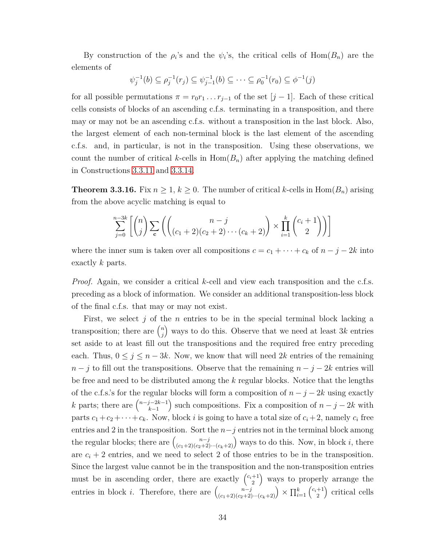By construction of the  $\rho_i$ 's and the  $\psi_i$ 's, the critical cells of Hom $(B_n)$  are the elements of

$$
\psi_j^{-1}(b) \subseteq \rho_j^{-1}(r_j) \subseteq \psi_{j-1}^{-1}(b) \subseteq \cdots \subseteq \rho_0^{-1}(r_0) \subseteq \phi^{-1}(j)
$$

for all possible permutations  $\pi = r_0 r_1 \dots r_{j-1}$  of the set  $[j-1]$ . Each of these critical cells consists of blocks of an ascending c.f.s. terminating in a transposition, and there may or may not be an ascending c.f.s. without a transposition in the last block. Also, the largest element of each non-terminal block is the last element of the ascending c.f.s. and, in particular, is not in the transposition. Using these observations, we count the number of critical *k*-cells in  $Hom(B_n)$  after applying the matching defined in Constructions [3.3.11](#page-41-0) and [3.3.14.](#page-43-0)

<span id="page-44-0"></span>**Theorem 3.3.16.** Fix  $n \geq 1, k \geq 0$ . The number of critical *k*-cells in Hom( $B_n$ ) arising from the above acyclic matching is equal to

$$
\sum_{j=0}^{n-3k} \left[ \binom{n}{j} \sum_{\mathbf{c}} \left( \binom{n-j}{(c_1+2)(c_2+2)\cdots(c_k+2)} \right) \times \prod_{i=1}^k \binom{c_i+1}{2} \right) \right]
$$

where the inner sum is taken over all compositions  $c = c_1 + \cdots + c_k$  of  $n - j - 2k$  into exactly *k* parts.

*Proof.* Again, we consider a critical *k*-cell and view each transposition and the c.f.s. preceding as a block of information. We consider an additional transposition-less block of the final c.f.s. that may or may not exist.

First, we select *j* of the *n* entries to be in the special terminal block lacking a transposition; there are  $\binom{n}{i}$ *j* ways to do this. Observe that we need at least 3*k* entries set aside to at least fill out the transpositions and the required free entry preceding each. Thus,  $0 \leq j \leq n-3k$ . Now, we know that will need 2k entries of the remaining  $n - j$  to fill out the transpositions. Observe that the remaining  $n - j - 2k$  entries will be free and need to be distributed among the *k* regular blocks. Notice that the lengths of the c.f.s.'s for the regular blocks will form a composition of  $n - j - 2k$  using exactly *k* parts; there are  $\binom{n-j-2k-1}{k-1}$ *k*−1 ) such compositions. Fix a composition of  $n - j - 2k$  with parts  $c_1 + c_2 + \cdots + c_k$ . Now, block *i* is going to have a total size of  $c_i + 2$ , namely  $c_i$  free entries and 2 in the transposition. Sort the  $n-j$  entries not in the terminal block among the regular blocks; there are  $\binom{n-j}{(c_1+2)(c_2+2)\cdots(c_k+2)}$  ways to do this. Now, in block *i*, there are  $c_i + 2$  entries, and we need to select 2 of those entries to be in the transposition. Since the largest value cannot be in the transposition and the non-transposition entries must be in ascending order, there are exactly  $\begin{pmatrix} c_i+1 \\ 2 \end{pmatrix}$ 2 ways to properly arrange the entries in block *i*. Therefore, there are  $\binom{n-j}{(c_1+2)(c_2+2)\cdots(c_k+2)} \times \prod_{i=1}^k \binom{c_i+1}{2}$ 2 critical cells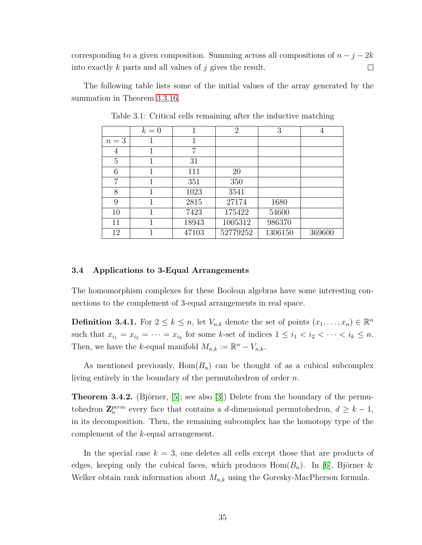corresponding to a given composition. Summing across all compositions of  $n - j - 2k$ into exactly *k* parts and all values of *j* gives the result.  $\Box$ 

The following table lists some of the initial values of the array generated by the summation in Theorem [3.3.16.](#page-44-0)

|       | $k=0$ |       | $\overline{2}$ | 3       | 4      |
|-------|-------|-------|----------------|---------|--------|
| $n=3$ |       |       |                |         |        |
| 4     |       | 7     |                |         |        |
| 5     | 1     | 31    |                |         |        |
| 6     |       | 111   | 20             |         |        |
| 7     |       | 351   | 350            |         |        |
| 8     |       | 1023  | 3541           |         |        |
| 9     |       | 2815  | 27174          | 1680    |        |
| 10    |       | 7423  | 175422         | 54600   |        |
| 11    |       | 18943 | 1005312        | 986370  |        |
| 12    |       | 47103 | 52779252       | 1306150 | 369600 |

<span id="page-45-1"></span>Table 3.1: Critical cells remaining after the inductive matching

#### <span id="page-45-0"></span>**3.4 Applications to 3-Equal Arrangements**

The homomorphism complexes for these Boolean algebras have some interesting connections to the complement of 3-equal arrangements in real space.

**Definition 3.4.1.** For  $2 \leq k \leq n$ , let  $V_{n,k}$  denote the set of points  $(x_1, \ldots, x_n) \in \mathbb{R}^n$ such that  $x_{i_1} = x_{i_2} = \cdots = x_{i_k}$  for some *k*-set of indices  $1 \leq i_1 < i_2 < \cdots < i_k \leq n$ . Then, we have the *k*-equal manifold  $M_{n,k} := \mathbb{R}^n - V_{n,k}$ .

As mentioned previously,  $Hom(B_n)$  can be thought of as a cubical subcomplex living entirely in the boundary of the permutohedron of order *n*.

**Theorem 3.4.2.** (Björner,  $[5]$ ; see also  $[3]$ ) Delete from the boundary of the permutohedron  $\mathbf{Z}_{n}^{perm}$  every face that contains a *d*-dimensional permutohedron,  $d \geq k - 1$ , in its decomposition. Then, the remaining subcomplex has the homotopy type of the complement of the *k*-equal arrangement.

In the special case  $k = 3$ , one deletes all cells except those that are products of edges, keeping only the cubical faces, which produces  $\text{Hom}(B_n)$ . In [\[6\]](#page-52-16), Björner & Welker obtain rank information about *Mn,k* using the Goresky-MacPherson formula.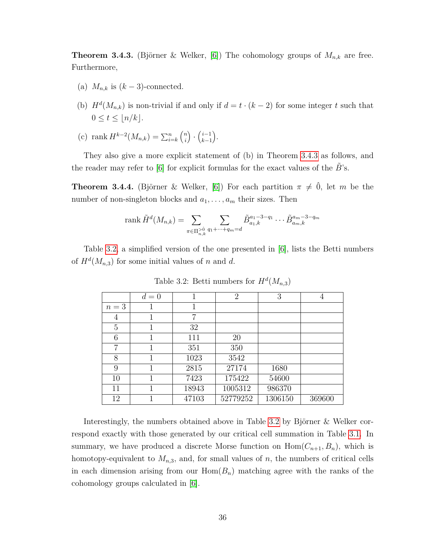<span id="page-46-1"></span>**Theorem 3.4.3.** (Björner & Welker, [\[6\]](#page-52-16)) The cohomology groups of  $M_{n,k}$  are free. Furthermore,

- (a)  $M_{n,k}$  is  $(k-3)$ -connected.
- (b)  $H^d(M_{n,k})$  is non-trivial if and only if  $d = t \cdot (k-2)$  for some integer *t* such that  $0 \leq t \leq \lfloor n/k \rfloor$ .
- (c) rank  $H^{k-2}(M_{n,k}) = \sum_{i=k}^{n} {n \choose i}$ *i*  $\cdot$   $\binom{i-1}{k-1}$ *k*−1 .

They also give a more explicit statement of (b) in Theorem [3.4.3](#page-46-1) as follows, and the reader may refer to [\[6\]](#page-52-16) for explicit formulas for the exact values of the *B*˜'s.

**Theorem 3.4.4.** (Björner & Welker, [\[6\]](#page-52-16)) For each partition  $\pi \neq 0$ , let *m* be the number of non-singleton blocks and  $a_1, \ldots, a_m$  their sizes. Then

rank 
$$
\tilde{H}^d(M_{n,k}) = \sum_{\pi \in \Pi_{n,k}^{>0}} \sum_{q_1 + \dots + q_m = d} \tilde{B}_{a_1,k}^{a_1 - 3 - q_1} \dots \tilde{B}_{a_m,k}^{a_m - 3 - q_m}
$$

Table [3.2,](#page-46-0) a simplified version of the one presented in [\[6\]](#page-52-16), lists the Betti numbers of  $H^d(M_{n,3})$  for some initial values of *n* and *d*.

|       | $d=0$ |       | $\overline{2}$ | 3       | 4      |
|-------|-------|-------|----------------|---------|--------|
| $n=3$ |       |       |                |         |        |
| 4     |       | 7     |                |         |        |
| 5     | 1     | 32    |                |         |        |
| 6     |       | 111   | <b>20</b>      |         |        |
| 7     |       | 351   | 350            |         |        |
| 8     |       | 1023  | 3542           |         |        |
| 9     |       | 2815  | 27174          | 1680    |        |
| 10    | 1     | 7423  | 175422         | 54600   |        |
| 11    | 1     | 18943 | 1005312        | 986370  |        |
| 12    |       | 47103 | 52779252       | 1306150 | 369600 |

<span id="page-46-0"></span>Table 3.2: Betti numbers for  $H^d(M_{n,3})$ 

Interestingly, the numbers obtained above in Table [3.2](#page-46-0) by Björner  $&$  Welker correspond exactly with those generated by our critical cell summation in Table [3.1.](#page-45-1) In summary, we have produced a discrete Morse function on  $Hom(C_{n+1}, B_n)$ , which is homotopy-equivalent to  $M_{n,3}$ , and, for small values of *n*, the numbers of critical cells in each dimension arising from our  $Hom(B_n)$  matching agree with the ranks of the cohomology groups calculated in [\[6\]](#page-52-16).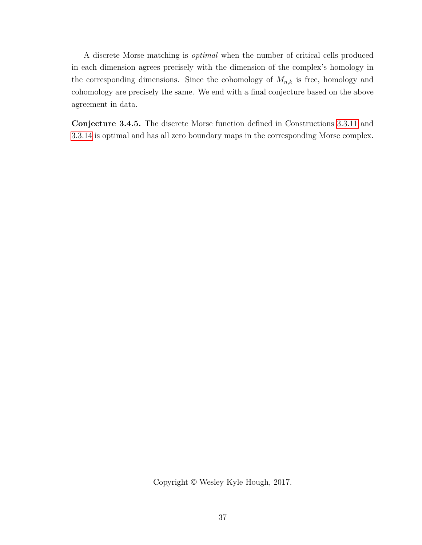A discrete Morse matching is *optimal* when the number of critical cells produced in each dimension agrees precisely with the dimension of the complex's homology in the corresponding dimensions. Since the cohomology of  $M_{n,k}$  is free, homology and cohomology are precisely the same. We end with a final conjecture based on the above agreement in data.

**Conjecture 3.4.5.** The discrete Morse function defined in Constructions [3.3.11](#page-41-0) and [3.3.14](#page-43-0) is optimal and has all zero boundary maps in the corresponding Morse complex.

Copyright © Wesley Kyle Hough, 2017.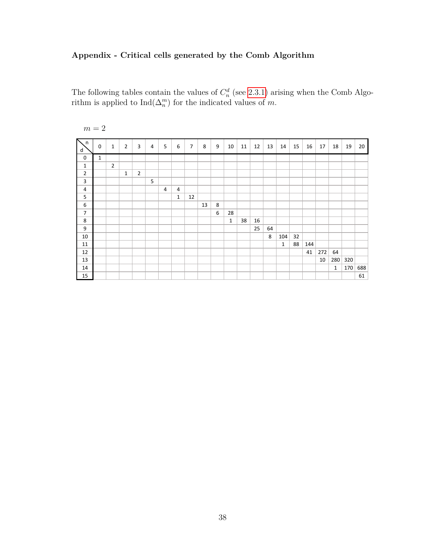## <span id="page-48-0"></span>**Appendix - Critical cells generated by the Comb Algorithm**

The following tables contain the values of  $C_n^d$  (see [2.3.1\)](#page-21-4) arising when the Comb Algorithm is applied to  $\text{Ind}(\Delta_n^m)$  for the indicated values of *m*.

| n<br>d           | $\mathbf 0$  | $\mathbf{1}$   | $\overline{2}$ | 3              | $\overline{4}$ | 5              | 6              | $\overline{7}$ | 8  | 9 | 10           | 11 | 12 | 13 | 14           | 15 | 16  | 17  | 18           | 19  | 20  |
|------------------|--------------|----------------|----------------|----------------|----------------|----------------|----------------|----------------|----|---|--------------|----|----|----|--------------|----|-----|-----|--------------|-----|-----|
| $\mathbf 0$      | $\mathbf{1}$ |                |                |                |                |                |                |                |    |   |              |    |    |    |              |    |     |     |              |     |     |
| $\mathbf{1}$     |              | $\overline{2}$ |                |                |                |                |                |                |    |   |              |    |    |    |              |    |     |     |              |     |     |
| $\overline{2}$   |              |                | $\mathbf{1}$   | $\overline{2}$ |                |                |                |                |    |   |              |    |    |    |              |    |     |     |              |     |     |
| $\mathbf{3}$     |              |                |                |                | 5              |                |                |                |    |   |              |    |    |    |              |    |     |     |              |     |     |
| 4                |              |                |                |                |                | $\overline{4}$ | $\overline{4}$ |                |    |   |              |    |    |    |              |    |     |     |              |     |     |
| 5                |              |                |                |                |                |                | $\mathbf{1}$   | 12             |    |   |              |    |    |    |              |    |     |     |              |     |     |
| $\boldsymbol{6}$ |              |                |                |                |                |                |                |                | 13 | 8 |              |    |    |    |              |    |     |     |              |     |     |
| $\overline{7}$   |              |                |                |                |                |                |                |                |    | 6 | 28           |    |    |    |              |    |     |     |              |     |     |
| 8                |              |                |                |                |                |                |                |                |    |   | $\mathbf{1}$ | 38 | 16 |    |              |    |     |     |              |     |     |
| $\overline{9}$   |              |                |                |                |                |                |                |                |    |   |              |    | 25 | 64 |              |    |     |     |              |     |     |
| 10               |              |                |                |                |                |                |                |                |    |   |              |    |    | 8  | 104          | 32 |     |     |              |     |     |
| 11               |              |                |                |                |                |                |                |                |    |   |              |    |    |    | $\mathbf{1}$ | 88 | 144 |     |              |     |     |
| 12               |              |                |                |                |                |                |                |                |    |   |              |    |    |    |              |    | 41  | 272 | 64           |     |     |
| 13               |              |                |                |                |                |                |                |                |    |   |              |    |    |    |              |    |     | 10  | 280          | 320 |     |
| 14               |              |                |                |                |                |                |                |                |    |   |              |    |    |    |              |    |     |     | $\mathbf{1}$ | 170 | 688 |
| 15               |              |                |                |                |                |                |                |                |    |   |              |    |    |    |              |    |     |     |              |     | 61  |

 $m=2\,$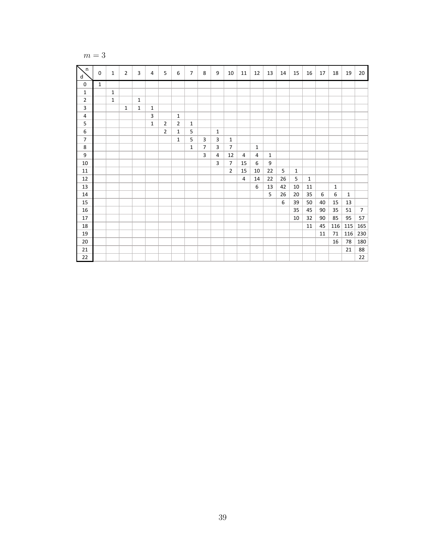$$
m=3
$$

| Σ<br>n,<br>d   | $\mathbf 0$  | $\mathbf{1}$ | $\overline{2}$ | 3            | 4            | 5              | 6              | $\overline{7}$ | 8              | 9            | 10             | 11             | 12           | 13           | 14 | 15           | 16           | 17 | 18           | 19           | 20             |
|----------------|--------------|--------------|----------------|--------------|--------------|----------------|----------------|----------------|----------------|--------------|----------------|----------------|--------------|--------------|----|--------------|--------------|----|--------------|--------------|----------------|
| 0              | $\mathbf{1}$ |              |                |              |              |                |                |                |                |              |                |                |              |              |    |              |              |    |              |              |                |
| 1              |              | $\mathbf{1}$ |                |              |              |                |                |                |                |              |                |                |              |              |    |              |              |    |              |              |                |
| $\overline{2}$ |              | 1            |                | $\mathbf{1}$ |              |                |                |                |                |              |                |                |              |              |    |              |              |    |              |              |                |
| 3              |              |              | $\mathbf{1}$   | $\mathbf{1}$ | $\mathbf{1}$ |                |                |                |                |              |                |                |              |              |    |              |              |    |              |              |                |
| 4              |              |              |                |              | 3            |                | $\mathbf{1}$   |                |                |              |                |                |              |              |    |              |              |    |              |              |                |
| 5              |              |              |                |              | $\mathbf{1}$ | $\overline{2}$ | $\overline{2}$ | $\mathbf{1}$   |                |              |                |                |              |              |    |              |              |    |              |              |                |
| 6              |              |              |                |              |              | $\overline{2}$ | $\mathbf{1}$   | 5              |                | $\mathbf{1}$ |                |                |              |              |    |              |              |    |              |              |                |
| $\overline{7}$ |              |              |                |              |              |                | $\mathbf{1}$   | 5              | 3              | 3            | $\mathbf{1}$   |                |              |              |    |              |              |    |              |              |                |
| 8              |              |              |                |              |              |                |                | 1              | $\overline{7}$ | 3            | $\overline{7}$ |                | $\mathbf{1}$ |              |    |              |              |    |              |              |                |
| 9              |              |              |                |              |              |                |                |                | 3              | 4            | 12             | 4              | 4            | $\mathbf{1}$ |    |              |              |    |              |              |                |
| $10\,$         |              |              |                |              |              |                |                |                |                | 3            | $\overline{7}$ | 15             | 6            | 9            |    |              |              |    |              |              |                |
| 11             |              |              |                |              |              |                |                |                |                |              | $\overline{2}$ | 15             | 10           | 22           | 5  | $\mathbf{1}$ |              |    |              |              |                |
| 12             |              |              |                |              |              |                |                |                |                |              |                | $\overline{4}$ | 14           | 22           | 26 | 5            | $\mathbf{1}$ |    |              |              |                |
| 13             |              |              |                |              |              |                |                |                |                |              |                |                | 6            | 13           | 42 | 10           | 11           |    | $\mathbf{1}$ |              |                |
| 14             |              |              |                |              |              |                |                |                |                |              |                |                |              | 5            | 26 | 20           | 35           | 6  | 6            | $\mathbf{1}$ |                |
| 15             |              |              |                |              |              |                |                |                |                |              |                |                |              |              | 6  | 39           | 50           | 40 | 15           | 13           |                |
| 16             |              |              |                |              |              |                |                |                |                |              |                |                |              |              |    | 35           | 45           | 90 | 35           | 51           | $\overline{7}$ |
| 17             |              |              |                |              |              |                |                |                |                |              |                |                |              |              |    | 10           | 32           | 90 | 85           | 95           | 57             |
| 18             |              |              |                |              |              |                |                |                |                |              |                |                |              |              |    |              | 11           | 45 | 116          | 115          | 165            |
| 19             |              |              |                |              |              |                |                |                |                |              |                |                |              |              |    |              |              | 11 | 71           | 116          | 230            |
| 20             |              |              |                |              |              |                |                |                |                |              |                |                |              |              |    |              |              |    | 16           | 78           | 180            |
| 21             |              |              |                |              |              |                |                |                |                |              |                |                |              |              |    |              |              |    |              | 21           | 88             |
| 22             |              |              |                |              |              |                |                |                |                |              |                |                |              |              |    |              |              |    |              |              | 22             |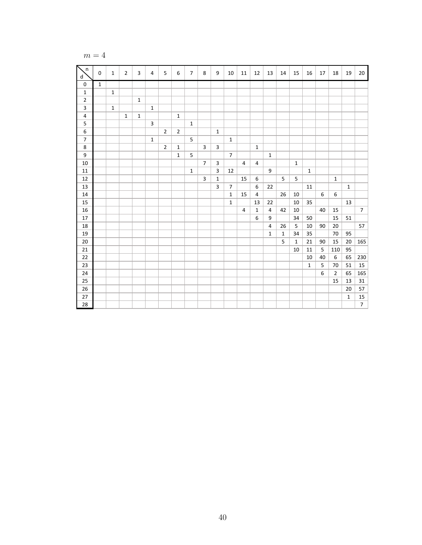$$
m=4
$$

| $n_{\rm s}$<br>d        | $\mathbf 0$  | $\mathbf{1}$ | $\overline{2}$ | 3            | $\overline{4}$ | 5              | 6              | $\overline{7}$ | 8              | 9                       | 10             | 11             | 12               | 13             | 14           | 15           | 16           | 17 | 18             | 19           | 20             |
|-------------------------|--------------|--------------|----------------|--------------|----------------|----------------|----------------|----------------|----------------|-------------------------|----------------|----------------|------------------|----------------|--------------|--------------|--------------|----|----------------|--------------|----------------|
| $\pmb{0}$               | $\mathbf{1}$ |              |                |              |                |                |                |                |                |                         |                |                |                  |                |              |              |              |    |                |              |                |
| $\mathbf 1$             |              | $\mathbf{1}$ |                |              |                |                |                |                |                |                         |                |                |                  |                |              |              |              |    |                |              |                |
| $\overline{2}$          |              |              |                | $\mathbf{1}$ |                |                |                |                |                |                         |                |                |                  |                |              |              |              |    |                |              |                |
|                         |              | $\mathbf{1}$ |                |              | $\mathbf{1}$   |                |                |                |                |                         |                |                |                  |                |              |              |              |    |                |              |                |
| $\overline{\mathbf{4}}$ |              |              | $\mathbf{1}$   | $\mathbf{1}$ |                |                | $\mathbf{1}$   |                |                |                         |                |                |                  |                |              |              |              |    |                |              |                |
| 5                       |              |              |                |              | 3              |                |                | $\mathbf{1}$   |                |                         |                |                |                  |                |              |              |              |    |                |              |                |
| $\boldsymbol{6}$        |              |              |                |              |                | $\overline{2}$ | $\overline{2}$ |                |                | $\mathbf{1}$            |                |                |                  |                |              |              |              |    |                |              |                |
| $\overline{7}$          |              |              |                |              | $\mathbf{1}$   |                |                | 5              |                |                         | $\mathbf{1}$   |                |                  |                |              |              |              |    |                |              |                |
| $\overline{\mathbf{8}}$ |              |              |                |              |                | $\overline{2}$ | $\mathbf{1}$   |                | 3              | $\overline{\mathbf{3}}$ |                |                | $\mathbf{1}$     |                |              |              |              |    |                |              |                |
| $\overline{9}$          |              |              |                |              |                |                | $\mathbf{1}$   | 5              |                |                         | $\overline{7}$ |                |                  | $\mathbf{1}$   |              |              |              |    |                |              |                |
| 10                      |              |              |                |              |                |                |                |                | $\overline{7}$ | 3                       |                | $\overline{4}$ | 4                |                |              | $\mathbf{1}$ |              |    |                |              |                |
| $11\,$                  |              |              |                |              |                |                |                | $\mathbf{1}$   |                | 3                       | 12             |                |                  | 9              |              |              | $\mathbf{1}$ |    |                |              |                |
| 12                      |              |              |                |              |                |                |                |                | 3              | $\mathbf{1}$            |                | 15             | 6                |                | 5            | 5            |              |    | $\mathbf{1}$   |              |                |
| 13                      |              |              |                |              |                |                |                |                |                | 3                       | $\overline{7}$ |                | $\boldsymbol{6}$ | 22             |              |              | 11           |    |                | $\mathbf{1}$ |                |
| $14\,$                  |              |              |                |              |                |                |                |                |                |                         | $\mathbf{1}$   | 15             | $\pmb{4}$        |                | 26           | 10           |              | 6  | 6              |              |                |
| 15                      |              |              |                |              |                |                |                |                |                |                         | $\mathbf{1}$   |                | 13               | 22             |              | 10           | 35           |    |                | 13           |                |
| 16                      |              |              |                |              |                |                |                |                |                |                         |                | $\overline{4}$ | $\mathbf{1}$     | $\overline{4}$ | 42           | 10           |              | 40 | 15             |              | $\overline{7}$ |
| 17                      |              |              |                |              |                |                |                |                |                |                         |                |                | 6                | 9              |              | 34           | 50           |    | 15             | 51           |                |
| 18                      |              |              |                |              |                |                |                |                |                |                         |                |                |                  | $\overline{4}$ | 26           | 5            | $10\,$       | 90 | 20             |              | 57             |
| 19                      |              |              |                |              |                |                |                |                |                |                         |                |                |                  | $\mathbf{1}$   | $\mathbf{1}$ | 34           | 35           |    | 70             | 95           |                |
| 20                      |              |              |                |              |                |                |                |                |                |                         |                |                |                  |                | 5            | $\mathbf{1}$ | 21           | 90 | 15             | 20           | 165            |
| $21\,$                  |              |              |                |              |                |                |                |                |                |                         |                |                |                  |                |              | 10           | 11           | 5  | 110            | 95           |                |
| 22                      |              |              |                |              |                |                |                |                |                |                         |                |                |                  |                |              |              | $10\,$       | 40 | 6              | 65           | 230            |
| 23                      |              |              |                |              |                |                |                |                |                |                         |                |                |                  |                |              |              | $\mathbf{1}$ | 5  | 70             | 51           | 15             |
| 24                      |              |              |                |              |                |                |                |                |                |                         |                |                |                  |                |              |              |              | 6  | $\overline{2}$ | 65           | 165            |
| 25                      |              |              |                |              |                |                |                |                |                |                         |                |                |                  |                |              |              |              |    | 15             | 13           | 31             |
| 26                      |              |              |                |              |                |                |                |                |                |                         |                |                |                  |                |              |              |              |    |                | 20           | 57             |
| 27                      |              |              |                |              |                |                |                |                |                |                         |                |                |                  |                |              |              |              |    |                | $\mathbf{1}$ | 15             |
| 28                      |              |              |                |              |                |                |                |                |                |                         |                |                |                  |                |              |              |              |    |                |              | 7 <sup>1</sup> |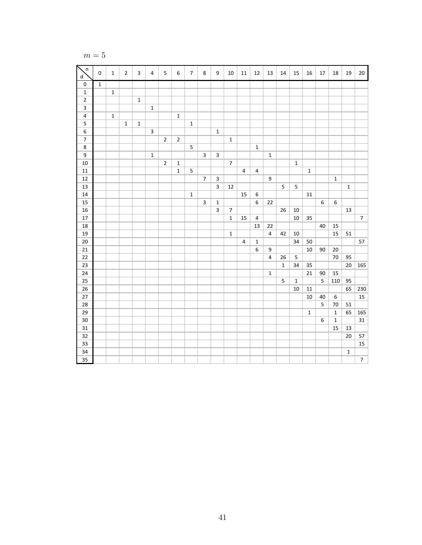$$
m=5
$$

| n<br>d                  | $\pmb{0}$    | $\mathbf{1}$ | $\overline{2}$ | 3           | 4              | 5              | 6              | $\overline{7}$ | $\,8\,$        | $\boldsymbol{9}$ | 10               | 11             | $12\,$           | 13                      | 14              | 15             | 16          | 17               | 18               | 19           | $20\,$         |
|-------------------------|--------------|--------------|----------------|-------------|----------------|----------------|----------------|----------------|----------------|------------------|------------------|----------------|------------------|-------------------------|-----------------|----------------|-------------|------------------|------------------|--------------|----------------|
| $\pmb{0}$               | $\mathbf{1}$ |              |                |             |                |                |                |                |                |                  |                  |                |                  |                         |                 |                |             |                  |                  |              |                |
| $\mathbf 1$             |              | $\mathbf{1}$ |                |             |                |                |                |                |                |                  |                  |                |                  |                         |                 |                |             |                  |                  |              |                |
| $\overline{\mathbf{c}}$ |              |              |                | $\mathbf 1$ |                |                |                |                |                |                  |                  |                |                  |                         |                 |                |             |                  |                  |              |                |
| $\overline{\mathbf{3}}$ |              |              |                |             | $\mathbf 1$    |                |                |                |                |                  |                  |                |                  |                         |                 |                |             |                  |                  |              |                |
| $\pmb{4}$               |              | $1\,$        |                |             |                |                | $\mathbf 1$    |                |                |                  |                  |                |                  |                         |                 |                |             |                  |                  |              |                |
| $\sf 5$                 |              |              | $\mathbf{1}$   | $\mathbf 1$ |                |                |                | $\mathbf{1}$   |                |                  |                  |                |                  |                         |                 |                |             |                  |                  |              |                |
| $\boldsymbol{6}$        |              |              |                |             | $\overline{3}$ |                |                |                |                | $\mathbf 1$      |                  |                |                  |                         |                 |                |             |                  |                  |              |                |
| $\overline{7}$          |              |              |                |             |                | $\overline{2}$ | $\overline{2}$ |                |                |                  | $\mathbf 1$      |                |                  |                         |                 |                |             |                  |                  |              |                |
| $\overline{\bf 8}$      |              |              |                |             |                |                |                | 5              |                |                  |                  |                | $\mathbf 1$      |                         |                 |                |             |                  |                  |              |                |
| $\overline{9}$          |              |              |                |             | $1\,$          |                |                |                | $\overline{3}$ | $\mathsf 3$      |                  |                |                  | $\mathbf 1$             |                 |                |             |                  |                  |              |                |
| 10                      |              |              |                |             |                | $\overline{2}$ | $\mathbf 1$    |                |                |                  | $\overline{7}$   |                |                  |                         |                 | $1\,$          |             |                  |                  |              |                |
| $11\,$                  |              |              |                |             |                |                | $\mathbf 1$    | $\sqrt{5}$     |                |                  |                  | 4              | $\overline{a}$   |                         |                 |                | $\mathbf 1$ |                  |                  |              |                |
| $12\,$                  |              |              |                |             |                |                |                |                | $\overline{7}$ | $\mathsf 3$      |                  |                |                  | $\boldsymbol{9}$        |                 |                |             |                  | $\mathbf 1$      |              |                |
| 13                      |              |              |                |             |                |                |                |                |                | $\overline{3}$   | 12               |                |                  |                         | $5\overline{5}$ | 5              |             |                  |                  | $\mathbf{1}$ |                |
| $14\,$                  |              |              |                |             |                |                |                | $\mathbf 1$    |                |                  |                  | 15             | $\boldsymbol{6}$ |                         |                 |                | $11\,$      |                  |                  |              |                |
| 15                      |              |              |                |             |                |                |                |                | $\mathbf{3}$   | $\mathbf 1$      |                  |                | $\boldsymbol{6}$ | 22                      |                 |                |             | 6                | $\boldsymbol{6}$ |              |                |
| 16                      |              |              |                |             |                |                |                |                |                | $\mathsf 3$      | $\boldsymbol{7}$ |                |                  |                         | 26              | 10             |             |                  |                  | 13           |                |
| 17                      |              |              |                |             |                |                |                |                |                |                  | $\mathbf 1$      | 15             | $\pmb{4}$        |                         |                 | $10\,$         | 35          |                  |                  |              | $\overline{7}$ |
| 18                      |              |              |                |             |                |                |                |                |                |                  |                  |                | 13               | 22                      |                 |                |             | 40               | 15               |              |                |
| 19                      |              |              |                |             |                |                |                |                |                |                  | $1\,$            |                |                  | $\overline{\mathbf{4}}$ | 42              | 10             |             |                  | 15               | 51           |                |
| 20                      |              |              |                |             |                |                |                |                |                |                  |                  | $\overline{4}$ | $\mathbf 1$      |                         |                 | 34             | 50          |                  |                  |              | 57             |
| 21                      |              |              |                |             |                |                |                |                |                |                  |                  |                | $\boldsymbol{6}$ | $\boldsymbol{9}$        |                 |                | $10\,$      | 90               | 20               |              |                |
| 22                      |              |              |                |             |                |                |                |                |                |                  |                  |                |                  | $\overline{4}$          | 26              | $\overline{5}$ |             |                  | 70               | 95           |                |
| 23                      |              |              |                |             |                |                |                |                |                |                  |                  |                |                  |                         | $\mathbf{1}$    | 34             | 35          |                  |                  | $20\,$       | 165            |
| 24                      |              |              |                |             |                |                |                |                |                |                  |                  |                |                  | $\mathbf 1$             |                 |                | $21\,$      | 90               | 15               |              |                |
| 25                      |              |              |                |             |                |                |                |                |                |                  |                  |                |                  |                         | $\sqrt{5}$      | $\mathbf 1$    |             | 5                | 110              | 95           |                |
| 26                      |              |              |                |             |                |                |                |                |                |                  |                  |                |                  |                         |                 | 10             | $11\,$      |                  |                  | 65           | 230            |
| 27                      |              |              |                |             |                |                |                |                |                |                  |                  |                |                  |                         |                 |                | $10\,$      | 40               | $\boldsymbol{6}$ |              | 15             |
| 28                      |              |              |                |             |                |                |                |                |                |                  |                  |                |                  |                         |                 |                |             | 5                | 70               | 51           |                |
| 29                      |              |              |                |             |                |                |                |                |                |                  |                  |                |                  |                         |                 |                | $\mathbf 1$ |                  | $\mathbf 1$      | 65           | 165            |
| $30\,$                  |              |              |                |             |                |                |                |                |                |                  |                  |                |                  |                         |                 |                |             | $\boldsymbol{6}$ | $\mathbf 1$      |              | 31             |
| $\overline{31}$         |              |              |                |             |                |                |                |                |                |                  |                  |                |                  |                         |                 |                |             |                  | 15               | 13           |                |
| 32                      |              |              |                |             |                |                |                |                |                |                  |                  |                |                  |                         |                 |                |             |                  |                  | 20           | 57             |
| 33                      |              |              |                |             |                |                |                |                |                |                  |                  |                |                  |                         |                 |                |             |                  |                  |              | 15             |
| 34                      |              |              |                |             |                |                |                |                |                |                  |                  |                |                  |                         |                 |                |             |                  |                  | $\mathbf 1$  |                |
| 35                      |              |              |                |             |                |                |                |                |                |                  |                  |                |                  |                         |                 |                |             |                  |                  |              | $\overline{7}$ |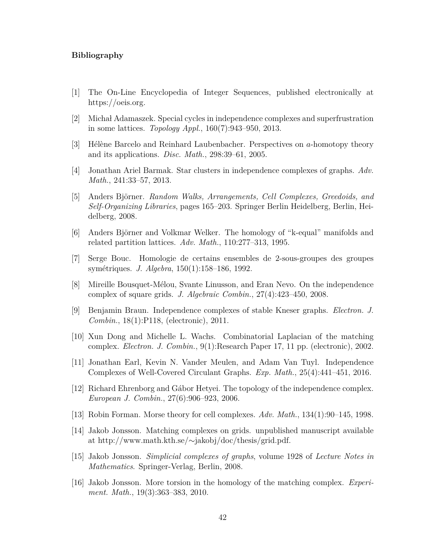#### **Bibliography**

- <span id="page-52-13"></span><span id="page-52-0"></span>[1] The On-Line Encyclopedia of Integer Sequences, published electronically at https://oeis.org.
- <span id="page-52-5"></span>[2] Michał Adamaszek. Special cycles in independence complexes and superfrustration in some lattices. *Topology Appl.*, 160(7):943–950, 2013.
- <span id="page-52-15"></span>[3] H´el`ene Barcelo and Reinhard Laubenbacher. Perspectives on *a*-homotopy theory and its applications. *Disc. Math.*, 298:39–61, 2005.
- <span id="page-52-6"></span>[4] Jonathan Ariel Barmak. Star clusters in independence complexes of graphs. *Adv. Math.*, 241:33–57, 2013.
- <span id="page-52-14"></span>[5] Anders Björner. *Random Walks, Arrangements, Cell Complexes, Greedoids, and Self-Organizing Libraries*, pages 165–203. Springer Berlin Heidelberg, Berlin, Heidelberg, 2008.
- <span id="page-52-16"></span>[6] Anders Björner and Volkmar Welker. The homology of "k-equal" manifolds and related partition lattices. *Adv. Math.*, 110:277–313, 1995.
- <span id="page-52-3"></span>[7] Serge Bouc. Homologie de certains ensembles de 2-sous-groupes des groupes sym´etriques. *J. Algebra*, 150(1):158–186, 1992.
- <span id="page-52-4"></span>[8] Mireille Bousquet-M´elou, Svante Linusson, and Eran Nevo. On the independence complex of square grids. *J. Algebraic Combin.*, 27(4):423–450, 2008.
- <span id="page-52-7"></span>[9] Benjamin Braun. Independence complexes of stable Kneser graphs. *Electron. J. Combin.*, 18(1):P118, (electronic), 2011.
- <span id="page-52-8"></span>[10] Xun Dong and Michelle L. Wachs. Combinatorial Laplacian of the matching complex. *Electron. J. Combin.*, 9(1):Research Paper 17, 11 pp. (electronic), 2002.
- <span id="page-52-9"></span>[11] Jonathan Earl, Kevin N. Vander Meulen, and Adam Van Tuyl. Independence Complexes of Well-Covered Circulant Graphs. *Exp. Math.*, 25(4):441–451, 2016.
- <span id="page-52-12"></span>[12] Richard Ehrenborg and G´abor Hetyei. The topology of the independence complex. *European J. Combin.*, 27(6):906–923, 2006.
- <span id="page-52-1"></span>[13] Robin Forman. Morse theory for cell complexes. *Adv. Math.*, 134(1):90–145, 1998.
- <span id="page-52-11"></span>[14] Jakob Jonsson. Matching complexes on grids. unpublished manuscript available at http://www.math.kth.se/∼jakobj/doc/thesis/grid.pdf.
- <span id="page-52-2"></span>[15] Jakob Jonsson. *Simplicial complexes of graphs*, volume 1928 of *Lecture Notes in Mathematics*. Springer-Verlag, Berlin, 2008.
- <span id="page-52-10"></span>[16] Jakob Jonsson. More torsion in the homology of the matching complex. *Experiment. Math.*, 19(3):363–383, 2010.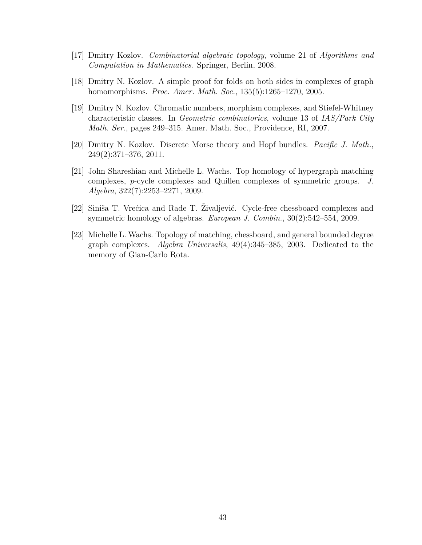- <span id="page-53-0"></span>[17] Dmitry Kozlov. *Combinatorial algebraic topology*, volume 21 of *Algorithms and Computation in Mathematics*. Springer, Berlin, 2008.
- <span id="page-53-6"></span>[18] Dmitry N. Kozlov. A simple proof for folds on both sides in complexes of graph homomorphisms. *Proc. Amer. Math. Soc.*, 135(5):1265–1270, 2005.
- <span id="page-53-5"></span>[19] Dmitry N. Kozlov. Chromatic numbers, morphism complexes, and Stiefel-Whitney characteristic classes. In *Geometric combinatorics*, volume 13 of *IAS/Park City Math. Ser.*, pages 249–315. Amer. Math. Soc., Providence, RI, 2007.
- <span id="page-53-4"></span>[20] Dmitry N. Kozlov. Discrete Morse theory and Hopf bundles. *Pacific J. Math.*, 249(2):371–376, 2011.
- <span id="page-53-1"></span>[21] John Shareshian and Michelle L. Wachs. Top homology of hypergraph matching complexes, *p*-cycle complexes and Quillen complexes of symmetric groups. *J. Algebra*, 322(7):2253–2271, 2009.
- <span id="page-53-3"></span>[22] Siniša T. Vrećica and Rade T. Živaljević. Cycle-free chessboard complexes and symmetric homology of algebras. *European J. Combin.*, 30(2):542–554, 2009.
- <span id="page-53-2"></span>[23] Michelle L. Wachs. Topology of matching, chessboard, and general bounded degree graph complexes. *Algebra Universalis*, 49(4):345–385, 2003. Dedicated to the memory of Gian-Carlo Rota.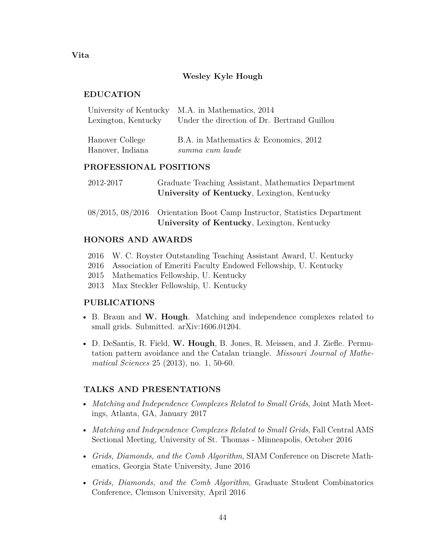## **Wesley Kyle Hough**

## **EDUCATION**

<span id="page-54-0"></span>**Vita**

|                     | University of Kentucky M.A. in Mathematics, 2014 |
|---------------------|--------------------------------------------------|
| Lexington, Kentucky | Under the direction of Dr. Bertrand Guillou      |
|                     |                                                  |

| Hanover College  | B.A. in Mathematics $&$ Economics, 2012 |
|------------------|-----------------------------------------|
| Hanover, Indiana | summa cum laude                         |

## **PROFESSIONAL POSITIONS**

| 2012-2017 | Graduate Teaching Assistant, Mathematics Department<br>University of Kentucky, Lexington, Kentucky                      |
|-----------|-------------------------------------------------------------------------------------------------------------------------|
|           | 08/2015, 08/2016 Orientation Boot Camp Instructor, Statistics Department<br>University of Kentucky, Lexington, Kentucky |

## **HONORS AND AWARDS**

- 2016 W. C. Royster Outstanding Teaching Assistant Award, U. Kentucky
- 2016 Association of Emeriti Faculty Endowed Fellowship, U. Kentucky
- 2015 Mathematics Fellowship, U. Kentucky
- 2013 Max Steckler Fellowship, U. Kentucky

### **PUBLICATIONS**

- B. Braun and **W. Hough**. Matching and independence complexes related to small grids. Submitted. arXiv:1606.01204.
- D. DeSantis, R. Field, **W. Hough**, B. Jones, R. Meissen, and J. Ziefle. Permutation pattern avoidance and the Catalan triangle. *Missouri Journal of Mathematical Sciences* 25 (2013), no. 1, 50-60.

### **TALKS AND PRESENTATIONS**

- *Matching and Independence Complexes Related to Small Grids*, Joint Math Meetings, Atlanta, GA, January 2017
- *Matching and Independence Complexes Related to Small Grids*, Fall Central AMS Sectional Meeting, University of St. Thomas - Minneapolis, October 2016
- *Grids, Diamonds, and the Comb Algorithm*, SIAM Conference on Discrete Mathematics, Georgia State University, June 2016
- *Grids, Diamonds, and the Comb Algorithm*, Graduate Student Combinatorics Conference, Clemson University, April 2016